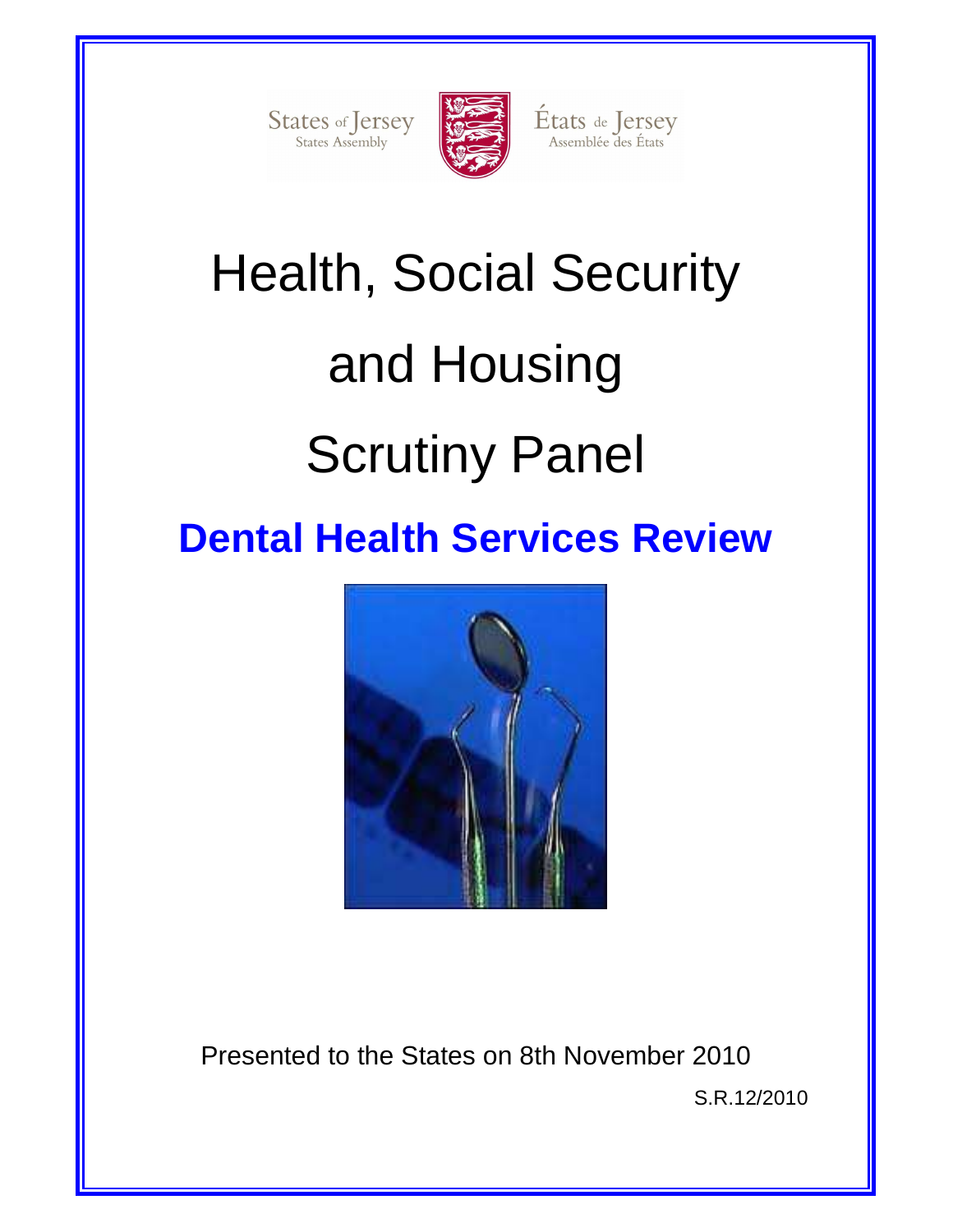States of Jersey



États de Jersey<br>Assemblée des États

# Health, Social Security and Housing Scrutiny Panel

## **Dental Health Services Review**



Presented to the States on 8th November 2010 S.R.12/2010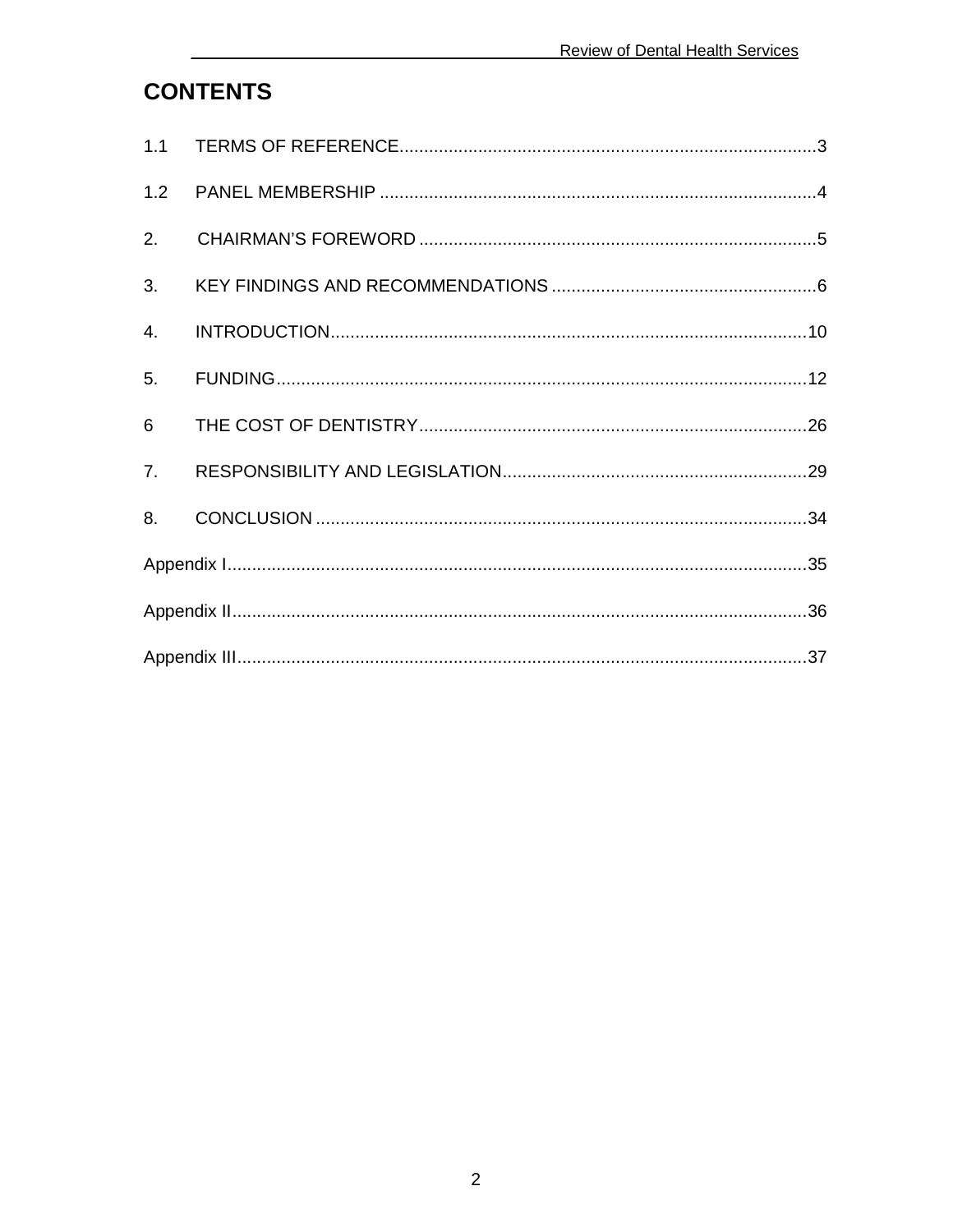## **CONTENTS**

| 1.2 |  |  |  |
|-----|--|--|--|
| 2.  |  |  |  |
| 3.  |  |  |  |
| 4.  |  |  |  |
| 5.  |  |  |  |
| 6   |  |  |  |
| 7.  |  |  |  |
| 8.  |  |  |  |
|     |  |  |  |
|     |  |  |  |
|     |  |  |  |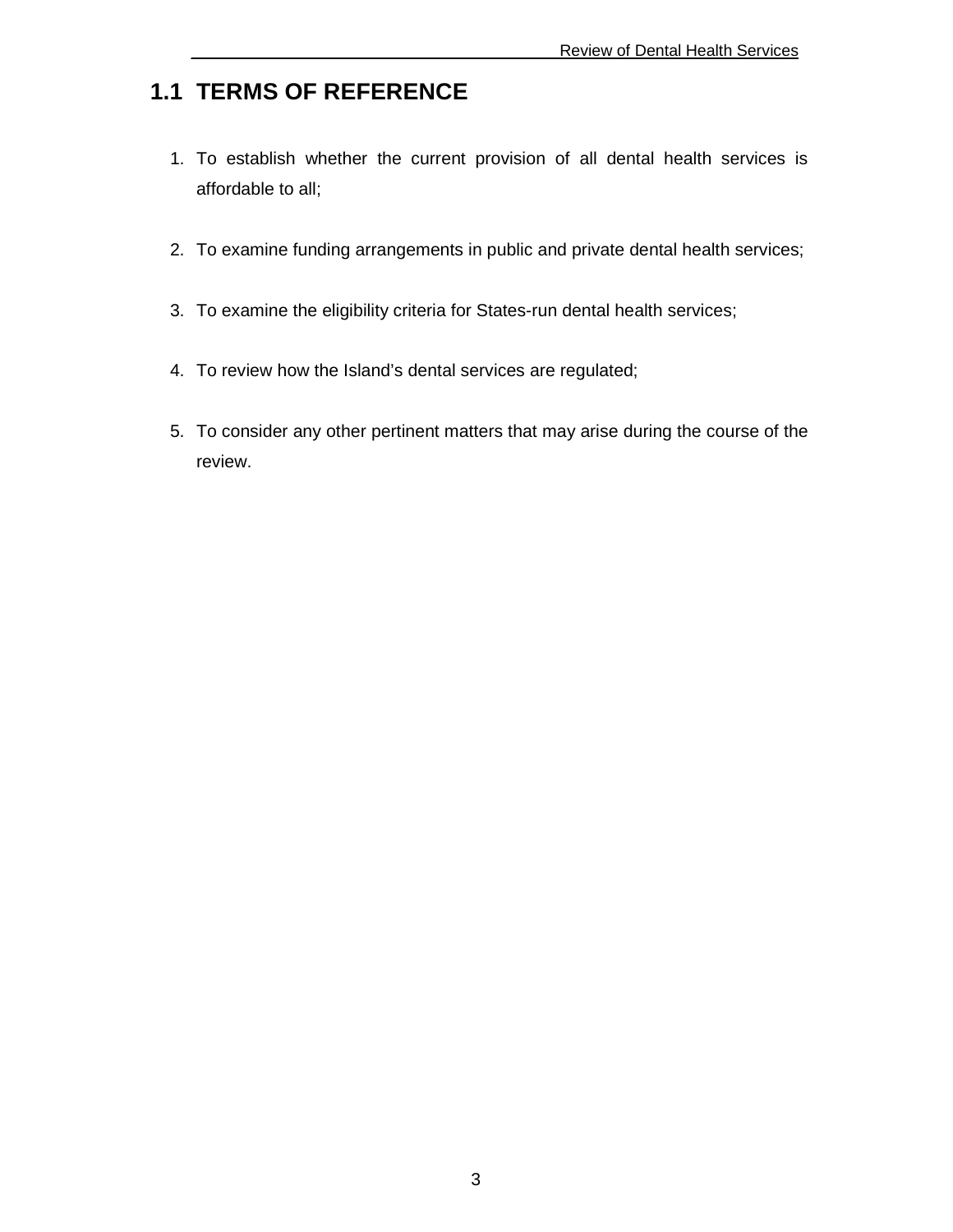## **1.1 TERMS OF REFERENCE**

- 1. To establish whether the current provision of all dental health services is affordable to all;
- 2. To examine funding arrangements in public and private dental health services;
- 3. To examine the eligibility criteria for States-run dental health services;
- 4. To review how the Island's dental services are regulated;
- 5. To consider any other pertinent matters that may arise during the course of the review.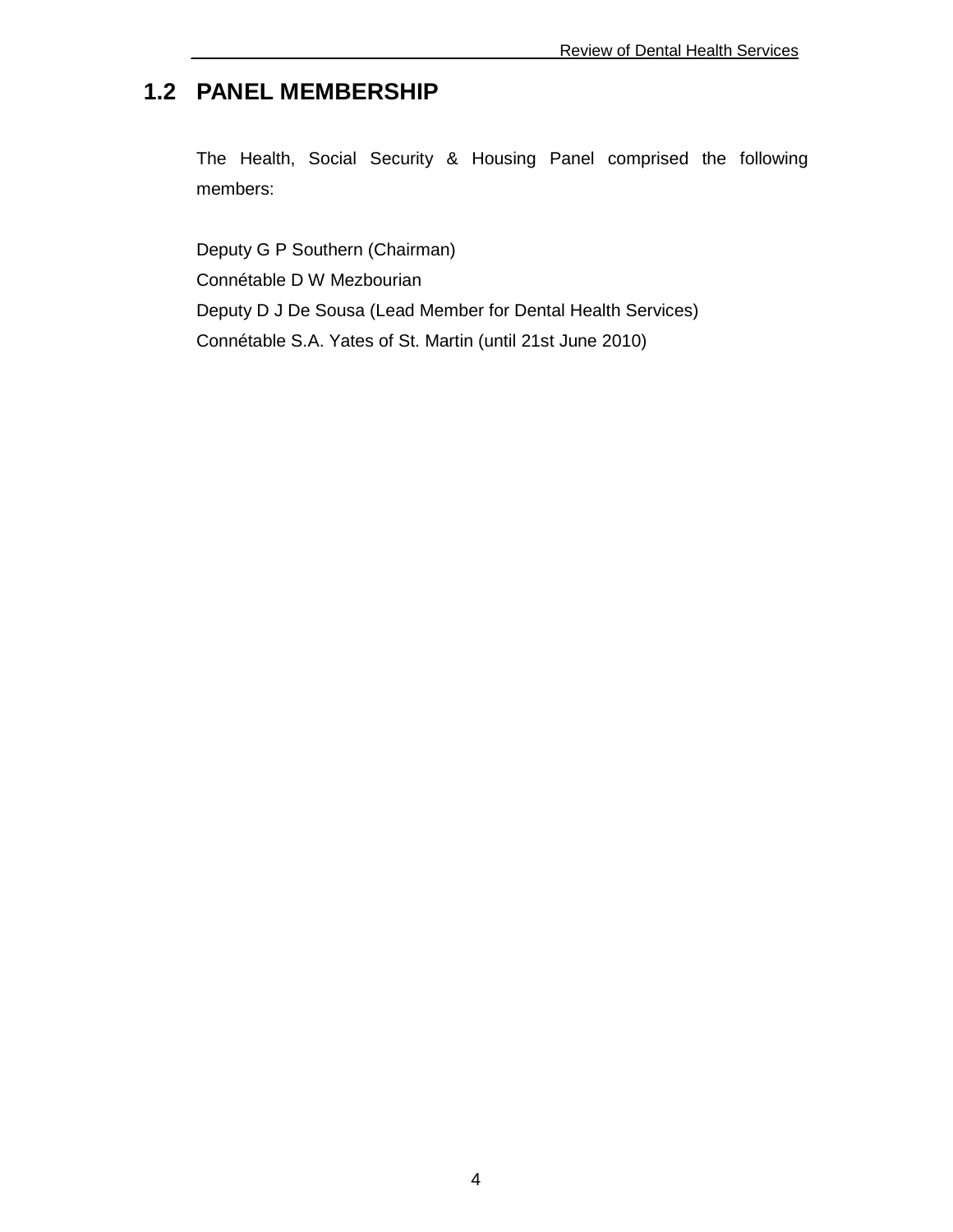## **1.2 PANEL MEMBERSHIP**

The Health, Social Security & Housing Panel comprised the following members:

Deputy G P Southern (Chairman) Connétable D W Mezbourian Deputy D J De Sousa (Lead Member for Dental Health Services) Connétable S.A. Yates of St. Martin (until 21st June 2010)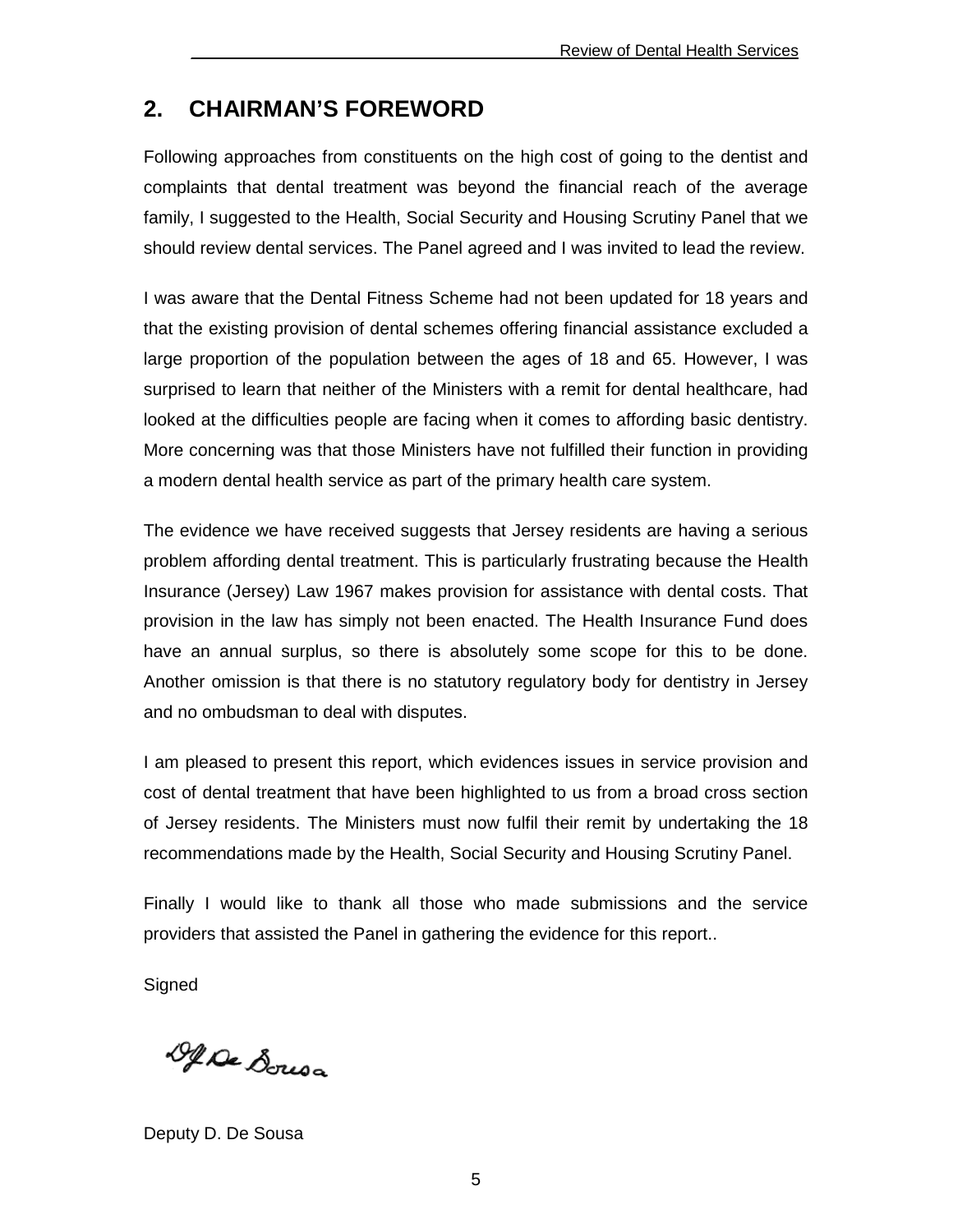### **2. CHAIRMAN'S FOREWORD**

Following approaches from constituents on the high cost of going to the dentist and complaints that dental treatment was beyond the financial reach of the average family, I suggested to the Health, Social Security and Housing Scrutiny Panel that we should review dental services. The Panel agreed and I was invited to lead the review.

I was aware that the Dental Fitness Scheme had not been updated for 18 years and that the existing provision of dental schemes offering financial assistance excluded a large proportion of the population between the ages of 18 and 65. However, I was surprised to learn that neither of the Ministers with a remit for dental healthcare, had looked at the difficulties people are facing when it comes to affording basic dentistry. More concerning was that those Ministers have not fulfilled their function in providing a modern dental health service as part of the primary health care system.

The evidence we have received suggests that Jersey residents are having a serious problem affording dental treatment. This is particularly frustrating because the Health Insurance (Jersey) Law 1967 makes provision for assistance with dental costs. That provision in the law has simply not been enacted. The Health Insurance Fund does have an annual surplus, so there is absolutely some scope for this to be done. Another omission is that there is no statutory regulatory body for dentistry in Jersey and no ombudsman to deal with disputes.

I am pleased to present this report, which evidences issues in service provision and cost of dental treatment that have been highlighted to us from a broad cross section of Jersey residents. The Ministers must now fulfil their remit by undertaking the 18 recommendations made by the Health, Social Security and Housing Scrutiny Panel.

Finally I would like to thank all those who made submissions and the service providers that assisted the Panel in gathering the evidence for this report..

**Signed** 

De Dousa

Deputy D. De Sousa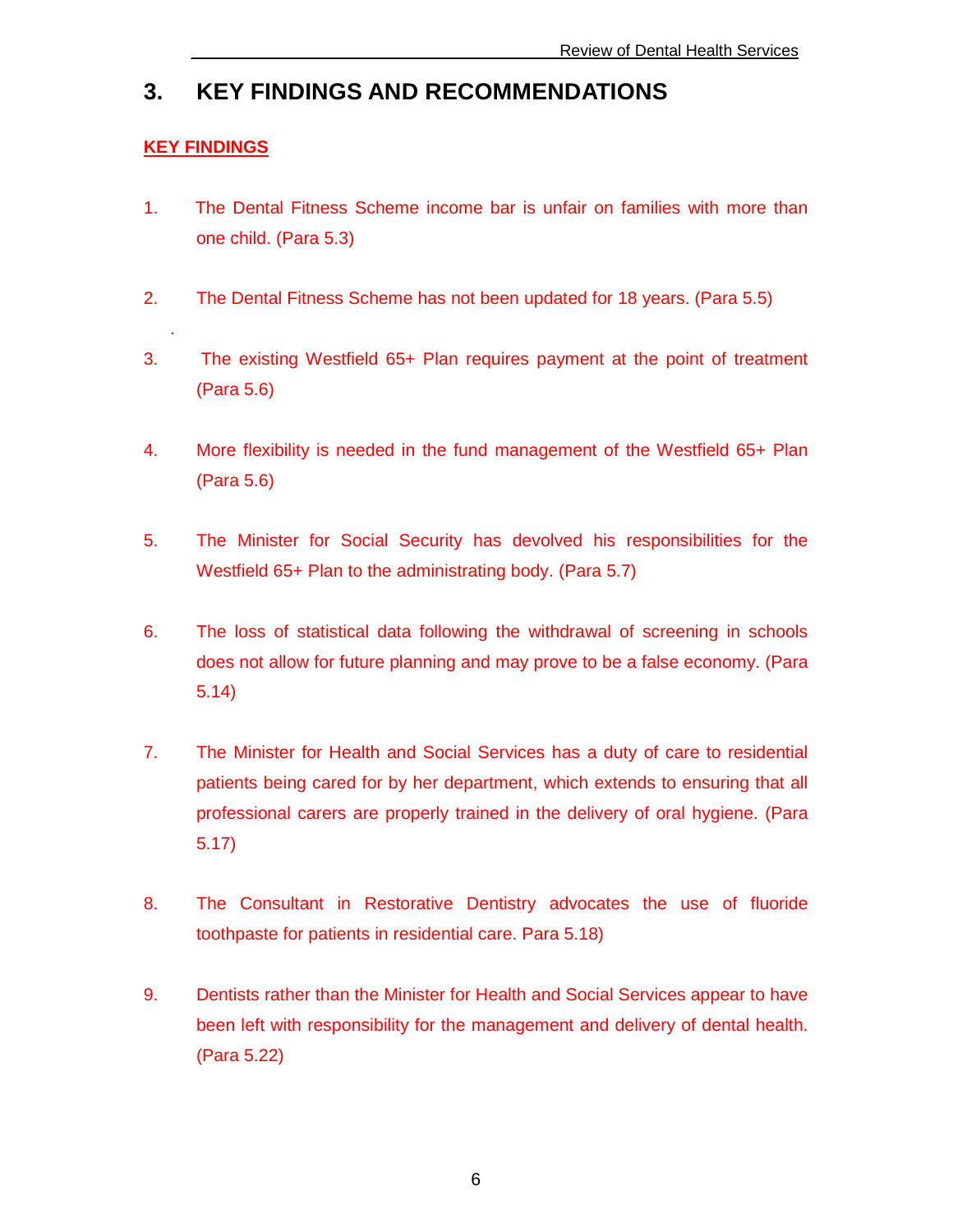## **3. KEY FINDINGS AND RECOMMENDATIONS**

#### **KEY FINDINGS**

.

- 1. The Dental Fitness Scheme income bar is unfair on families with more than one child. (Para 5.3)
- 2. The Dental Fitness Scheme has not been updated for 18 years. (Para 5.5)
- 3. The existing Westfield 65+ Plan requires payment at the point of treatment (Para 5.6)
- 4. More flexibility is needed in the fund management of the Westfield 65+ Plan (Para 5.6)
- 5. The Minister for Social Security has devolved his responsibilities for the Westfield 65+ Plan to the administrating body. (Para 5.7)
- 6. The loss of statistical data following the withdrawal of screening in schools does not allow for future planning and may prove to be a false economy. (Para 5.14)
- 7. The Minister for Health and Social Services has a duty of care to residential patients being cared for by her department, which extends to ensuring that all professional carers are properly trained in the delivery of oral hygiene. (Para 5.17)
- 8. The Consultant in Restorative Dentistry advocates the use of fluoride toothpaste for patients in residential care. Para 5.18)
- 9. Dentists rather than the Minister for Health and Social Services appear to have been left with responsibility for the management and delivery of dental health. (Para 5.22)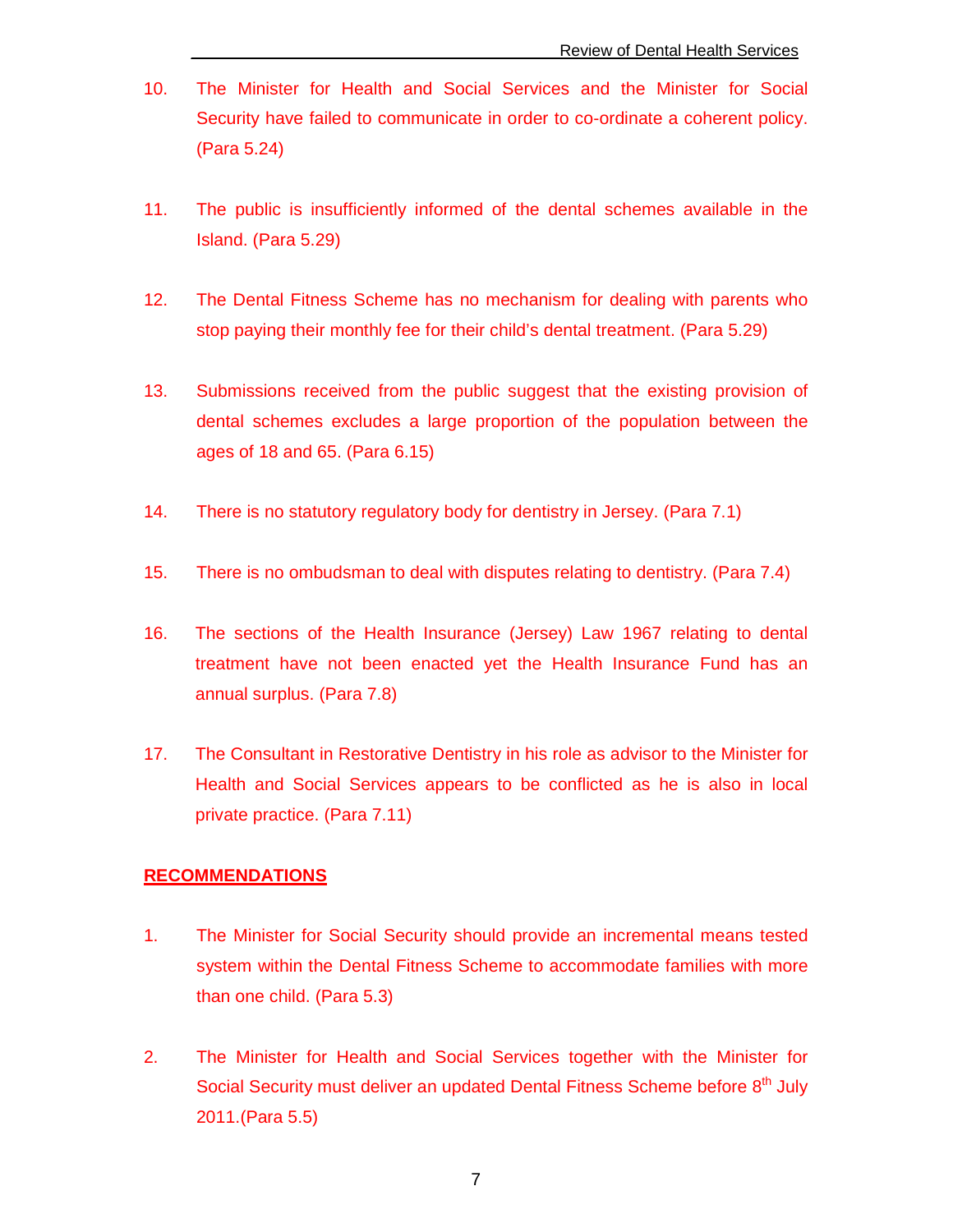- 10. The Minister for Health and Social Services and the Minister for Social Security have failed to communicate in order to co-ordinate a coherent policy. (Para 5.24)
- 11. The public is insufficiently informed of the dental schemes available in the Island. (Para 5.29)
- 12. The Dental Fitness Scheme has no mechanism for dealing with parents who stop paying their monthly fee for their child's dental treatment. (Para 5.29)
- 13. Submissions received from the public suggest that the existing provision of dental schemes excludes a large proportion of the population between the ages of 18 and 65. (Para 6.15)
- 14. There is no statutory regulatory body for dentistry in Jersey. (Para 7.1)
- 15. There is no ombudsman to deal with disputes relating to dentistry. (Para 7.4)
- 16. The sections of the Health Insurance (Jersey) Law 1967 relating to dental treatment have not been enacted yet the Health Insurance Fund has an annual surplus. (Para 7.8)
- 17. The Consultant in Restorative Dentistry in his role as advisor to the Minister for Health and Social Services appears to be conflicted as he is also in local private practice. (Para 7.11)

#### **RECOMMENDATIONS**

- 1. The Minister for Social Security should provide an incremental means tested system within the Dental Fitness Scheme to accommodate families with more than one child. (Para 5.3)
- 2. The Minister for Health and Social Services together with the Minister for Social Security must deliver an updated Dental Fitness Scheme before 8<sup>th</sup> July 2011.(Para 5.5)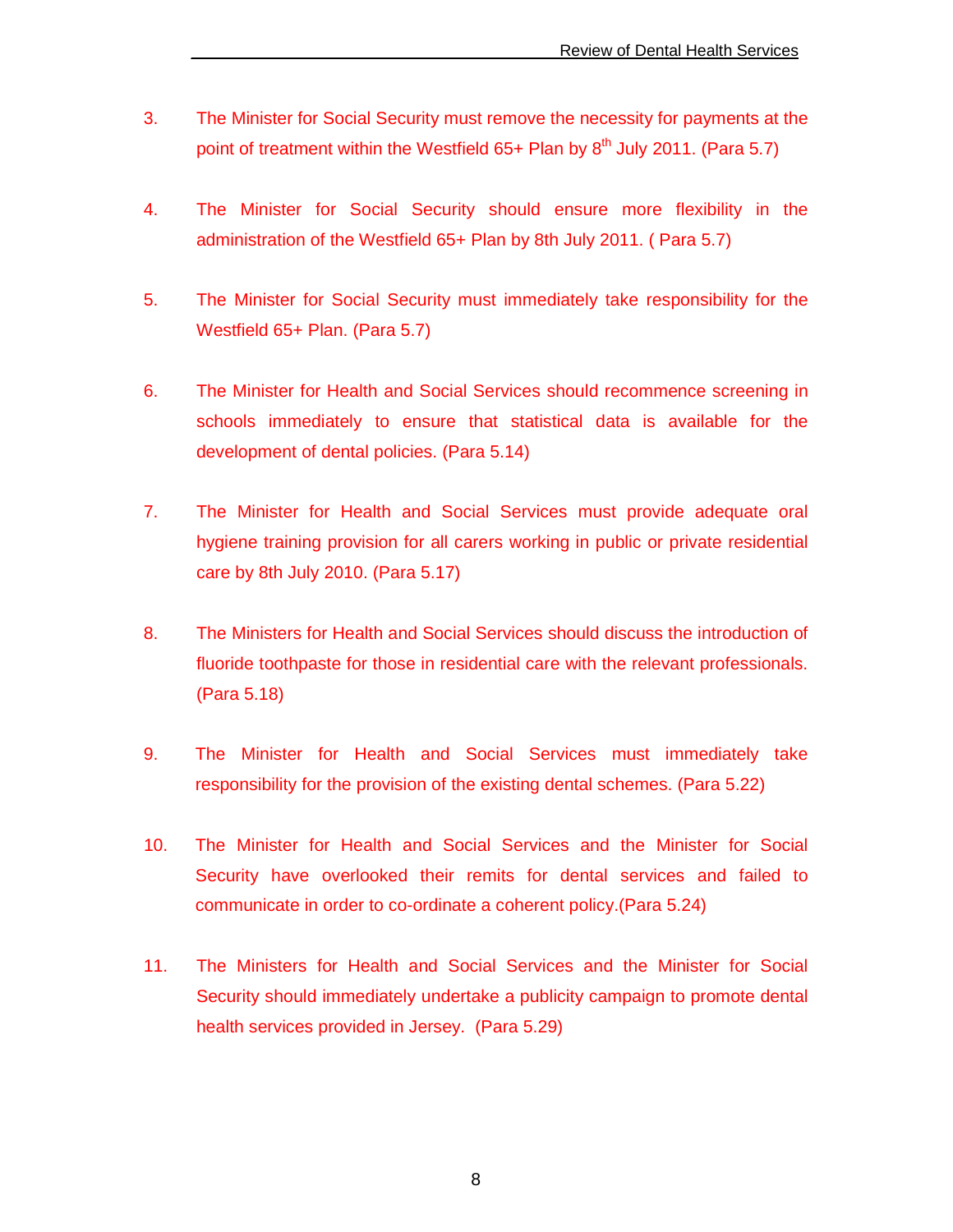- 3. The Minister for Social Security must remove the necessity for payments at the point of treatment within the Westfield  $65+$  Plan by  $8<sup>th</sup>$  July 2011. (Para 5.7)
- 4. The Minister for Social Security should ensure more flexibility in the administration of the Westfield 65+ Plan by 8th July 2011. ( Para 5.7)
- 5. The Minister for Social Security must immediately take responsibility for the Westfield 65+ Plan. (Para 5.7)
- 6. The Minister for Health and Social Services should recommence screening in schools immediately to ensure that statistical data is available for the development of dental policies. (Para 5.14)
- 7. The Minister for Health and Social Services must provide adequate oral hygiene training provision for all carers working in public or private residential care by 8th July 2010. (Para 5.17)
- 8. The Ministers for Health and Social Services should discuss the introduction of fluoride toothpaste for those in residential care with the relevant professionals. (Para 5.18)
- 9. The Minister for Health and Social Services must immediately take responsibility for the provision of the existing dental schemes. (Para 5.22)
- 10. The Minister for Health and Social Services and the Minister for Social Security have overlooked their remits for dental services and failed to communicate in order to co-ordinate a coherent policy.(Para 5.24)
- 11. The Ministers for Health and Social Services and the Minister for Social Security should immediately undertake a publicity campaign to promote dental health services provided in Jersey. (Para 5.29)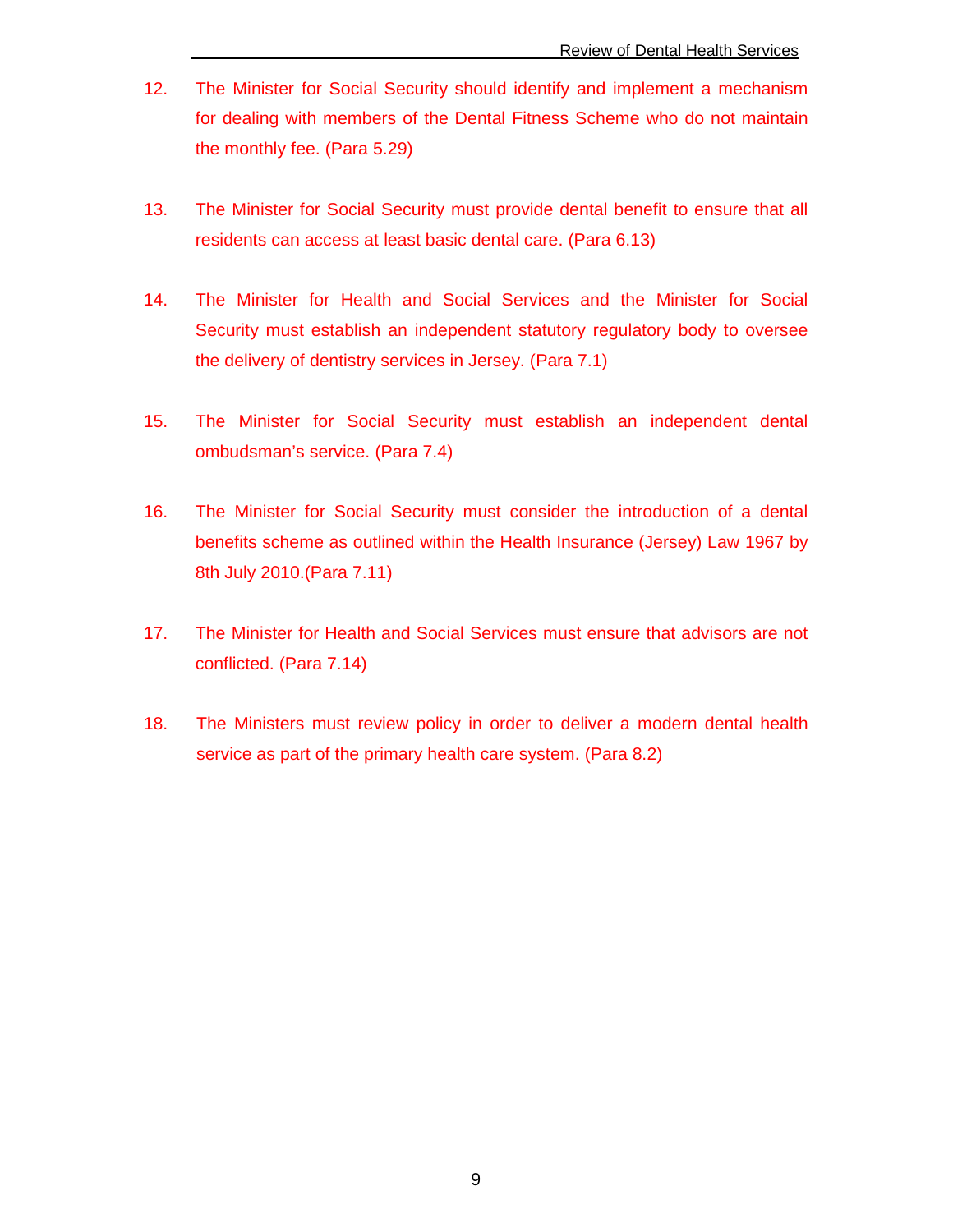- 12. The Minister for Social Security should identify and implement a mechanism for dealing with members of the Dental Fitness Scheme who do not maintain the monthly fee. (Para 5.29)
- 13. The Minister for Social Security must provide dental benefit to ensure that all residents can access at least basic dental care. (Para 6.13)
- 14. The Minister for Health and Social Services and the Minister for Social Security must establish an independent statutory regulatory body to oversee the delivery of dentistry services in Jersey. (Para 7.1)
- 15. The Minister for Social Security must establish an independent dental ombudsman's service. (Para 7.4)
- 16. The Minister for Social Security must consider the introduction of a dental benefits scheme as outlined within the Health Insurance (Jersey) Law 1967 by 8th July 2010.(Para 7.11)
- 17. The Minister for Health and Social Services must ensure that advisors are not conflicted. (Para 7.14)
- 18. The Ministers must review policy in order to deliver a modern dental health service as part of the primary health care system. (Para 8.2)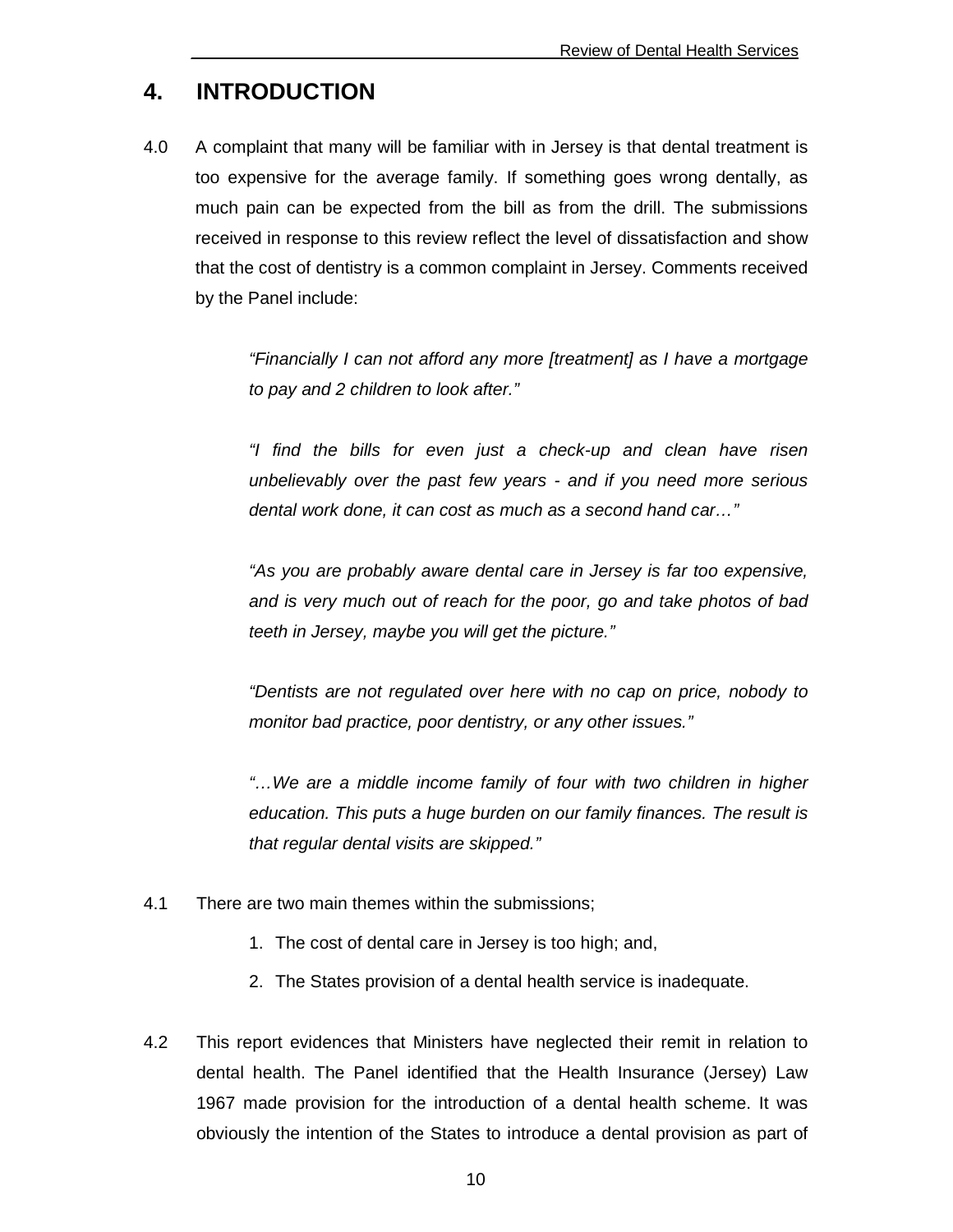## **4. INTRODUCTION**

4.0 A complaint that many will be familiar with in Jersey is that dental treatment is too expensive for the average family. If something goes wrong dentally, as much pain can be expected from the bill as from the drill. The submissions received in response to this review reflect the level of dissatisfaction and show that the cost of dentistry is a common complaint in Jersey. Comments received by the Panel include:

> "Financially I can not afford any more [treatment] as I have a mortgage to pay and 2 children to look after."

> "I find the bills for even just a check-up and clean have risen unbelievably over the past few years - and if you need more serious dental work done, it can cost as much as a second hand car…"

> "As you are probably aware dental care in Jersey is far too expensive, and is very much out of reach for the poor, go and take photos of bad teeth in Jersey, maybe you will get the picture."

> "Dentists are not regulated over here with no cap on price, nobody to monitor bad practice, poor dentistry, or any other issues."

> "…We are a middle income family of four with two children in higher education. This puts a huge burden on our family finances. The result is that regular dental visits are skipped."

- 4.1 There are two main themes within the submissions;
	- 1. The cost of dental care in Jersey is too high; and,
	- 2. The States provision of a dental health service is inadequate.
- 4.2 This report evidences that Ministers have neglected their remit in relation to dental health. The Panel identified that the Health Insurance (Jersey) Law 1967 made provision for the introduction of a dental health scheme. It was obviously the intention of the States to introduce a dental provision as part of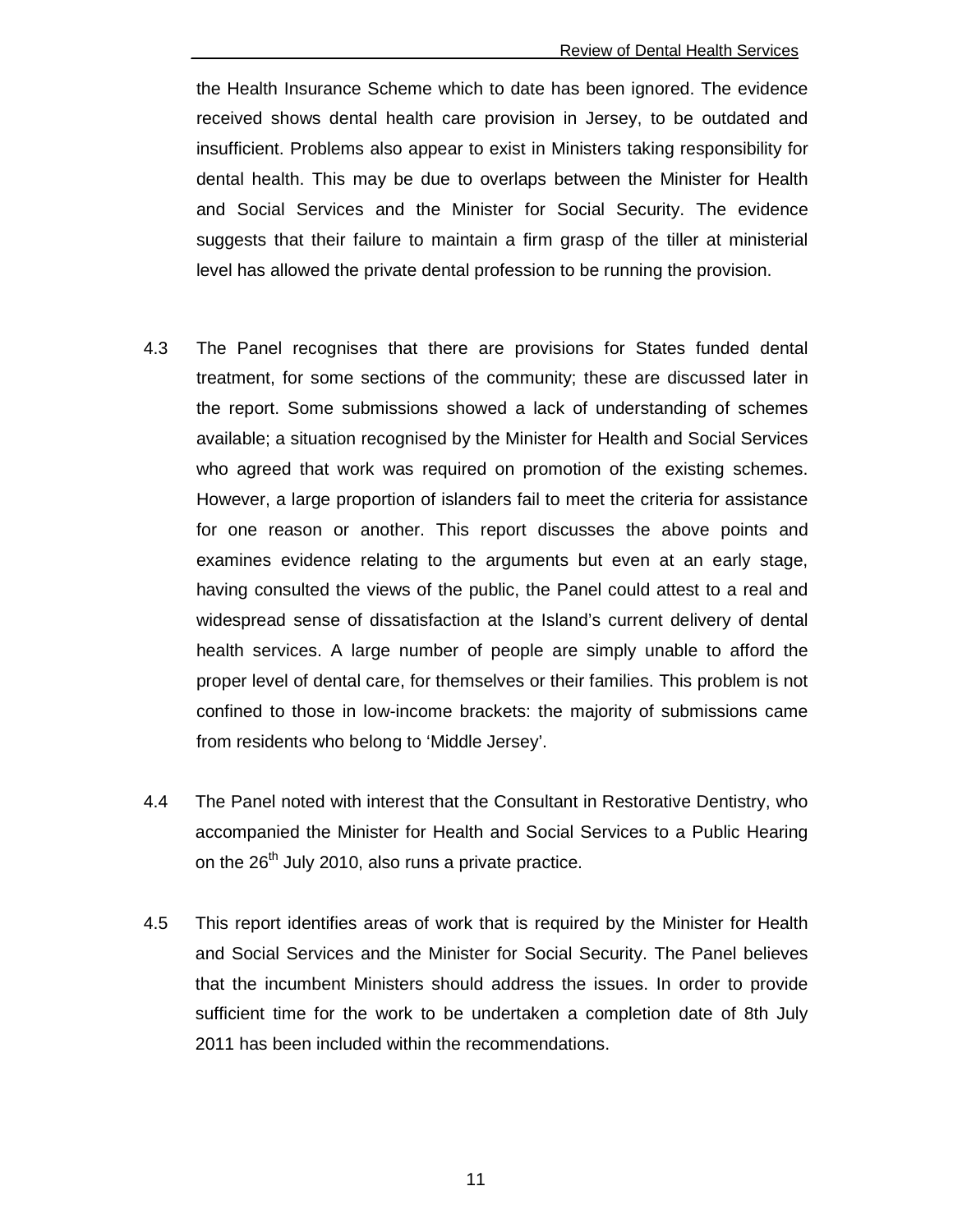the Health Insurance Scheme which to date has been ignored. The evidence received shows dental health care provision in Jersey, to be outdated and insufficient. Problems also appear to exist in Ministers taking responsibility for dental health. This may be due to overlaps between the Minister for Health and Social Services and the Minister for Social Security. The evidence suggests that their failure to maintain a firm grasp of the tiller at ministerial level has allowed the private dental profession to be running the provision.

- 4.3 The Panel recognises that there are provisions for States funded dental treatment, for some sections of the community; these are discussed later in the report. Some submissions showed a lack of understanding of schemes available; a situation recognised by the Minister for Health and Social Services who agreed that work was required on promotion of the existing schemes. However, a large proportion of islanders fail to meet the criteria for assistance for one reason or another. This report discusses the above points and examines evidence relating to the arguments but even at an early stage, having consulted the views of the public, the Panel could attest to a real and widespread sense of dissatisfaction at the Island's current delivery of dental health services. A large number of people are simply unable to afford the proper level of dental care, for themselves or their families. This problem is not confined to those in low-income brackets: the majority of submissions came from residents who belong to 'Middle Jersey'.
- 4.4 The Panel noted with interest that the Consultant in Restorative Dentistry, who accompanied the Minister for Health and Social Services to a Public Hearing on the  $26<sup>th</sup>$  July 2010, also runs a private practice.
- 4.5 This report identifies areas of work that is required by the Minister for Health and Social Services and the Minister for Social Security. The Panel believes that the incumbent Ministers should address the issues. In order to provide sufficient time for the work to be undertaken a completion date of 8th July 2011 has been included within the recommendations.

11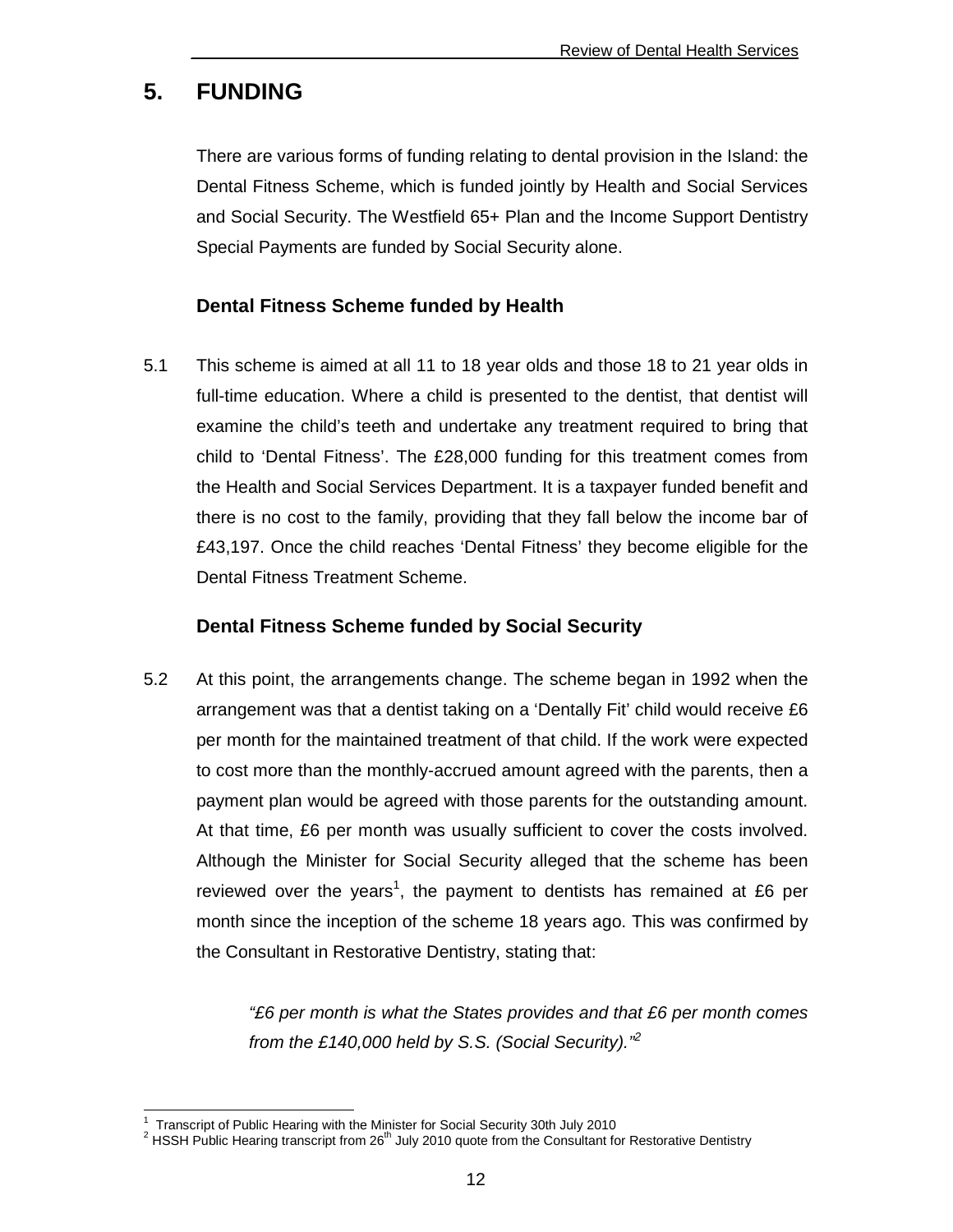## **5. FUNDING**

There are various forms of funding relating to dental provision in the Island: the Dental Fitness Scheme, which is funded jointly by Health and Social Services and Social Security. The Westfield 65+ Plan and the Income Support Dentistry Special Payments are funded by Social Security alone.

#### **Dental Fitness Scheme funded by Health**

5.1 This scheme is aimed at all 11 to 18 year olds and those 18 to 21 year olds in full-time education. Where a child is presented to the dentist, that dentist will examine the child's teeth and undertake any treatment required to bring that child to 'Dental Fitness'. The £28,000 funding for this treatment comes from the Health and Social Services Department. It is a taxpayer funded benefit and there is no cost to the family, providing that they fall below the income bar of £43,197. Once the child reaches 'Dental Fitness' they become eligible for the Dental Fitness Treatment Scheme.

#### **Dental Fitness Scheme funded by Social Security**

5.2 At this point, the arrangements change. The scheme began in 1992 when the arrangement was that a dentist taking on a 'Dentally Fit' child would receive £6 per month for the maintained treatment of that child. If the work were expected to cost more than the monthly-accrued amount agreed with the parents, then a payment plan would be agreed with those parents for the outstanding amount. At that time, £6 per month was usually sufficient to cover the costs involved. Although the Minister for Social Security alleged that the scheme has been reviewed over the years<sup>1</sup>, the payment to dentists has remained at £6 per month since the inception of the scheme 18 years ago. This was confirmed by the Consultant in Restorative Dentistry, stating that:

> "£6 per month is what the States provides and that £6 per month comes from the £140,000 held by S.S. (Social Security).<sup> $2$ </sup>

 1 Transcript of Public Hearing with the Minister for Social Security 30th July 2010

<sup>&</sup>lt;sup>2</sup> HSSH Public Hearing transcript from 26<sup>th</sup> July 2010 quote from the Consultant for Restorative Dentistry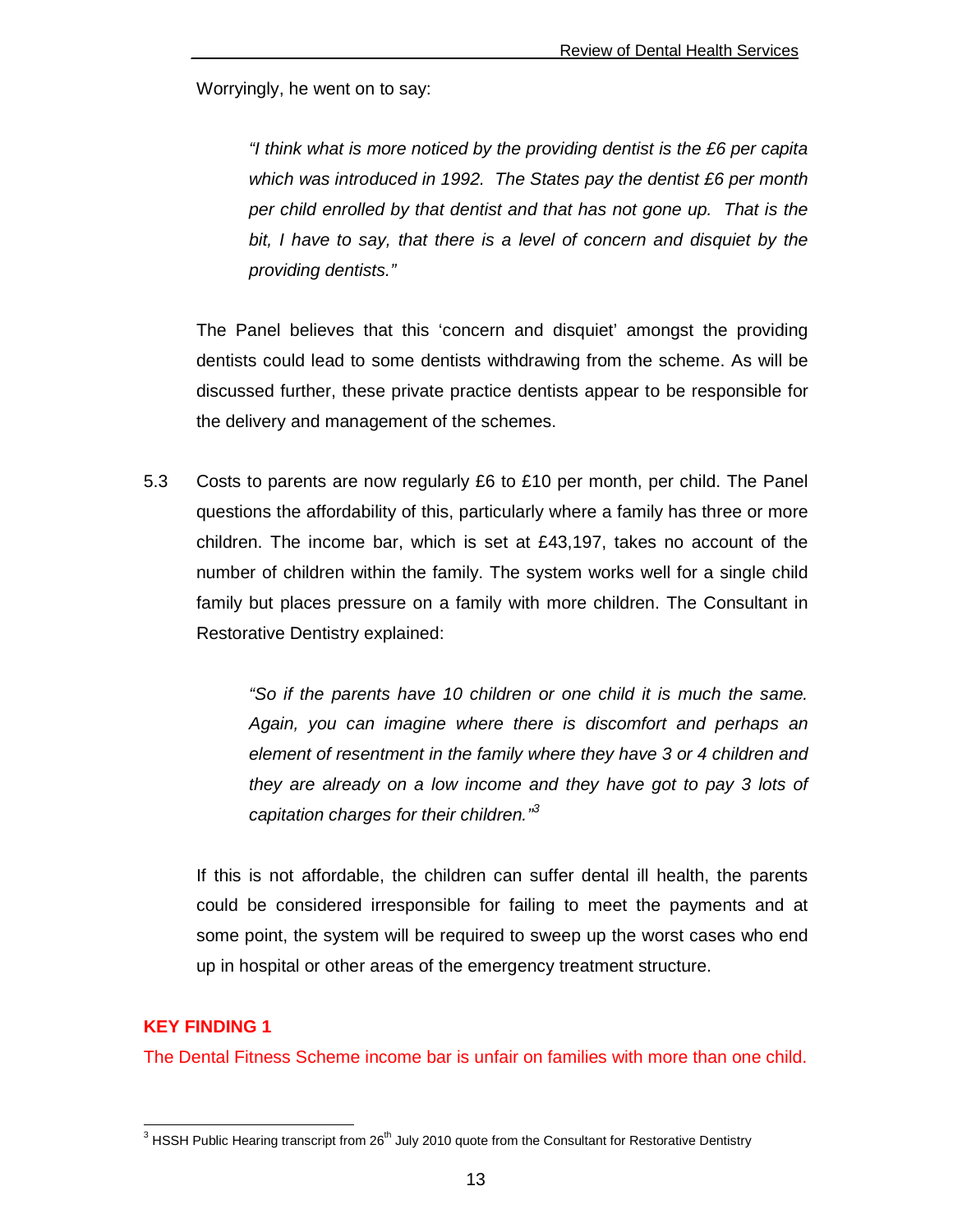Worryingly, he went on to say:

"I think what is more noticed by the providing dentist is the £6 per capita which was introduced in 1992. The States pay the dentist £6 per month per child enrolled by that dentist and that has not gone up. That is the bit, I have to say, that there is a level of concern and disquiet by the providing dentists."

The Panel believes that this 'concern and disquiet' amongst the providing dentists could lead to some dentists withdrawing from the scheme. As will be discussed further, these private practice dentists appear to be responsible for the delivery and management of the schemes.

5.3 Costs to parents are now regularly £6 to £10 per month, per child. The Panel questions the affordability of this, particularly where a family has three or more children. The income bar, which is set at £43,197, takes no account of the number of children within the family. The system works well for a single child family but places pressure on a family with more children. The Consultant in Restorative Dentistry explained:

> "So if the parents have 10 children or one child it is much the same. Again, you can imagine where there is discomfort and perhaps an element of resentment in the family where they have 3 or 4 children and they are already on a low income and they have got to pay 3 lots of capitation charges for their children."<sup>3</sup>

If this is not affordable, the children can suffer dental ill health, the parents could be considered irresponsible for failing to meet the payments and at some point, the system will be required to sweep up the worst cases who end up in hospital or other areas of the emergency treatment structure.

#### **KEY FINDING 1**

The Dental Fitness Scheme income bar is unfair on families with more than one child.

<sup>3&</sup>lt;br><sup>3</sup> HSSH Public Hearing transcript from 26<sup>th</sup> July 2010 quote from the Consultant for Restorative Dentistry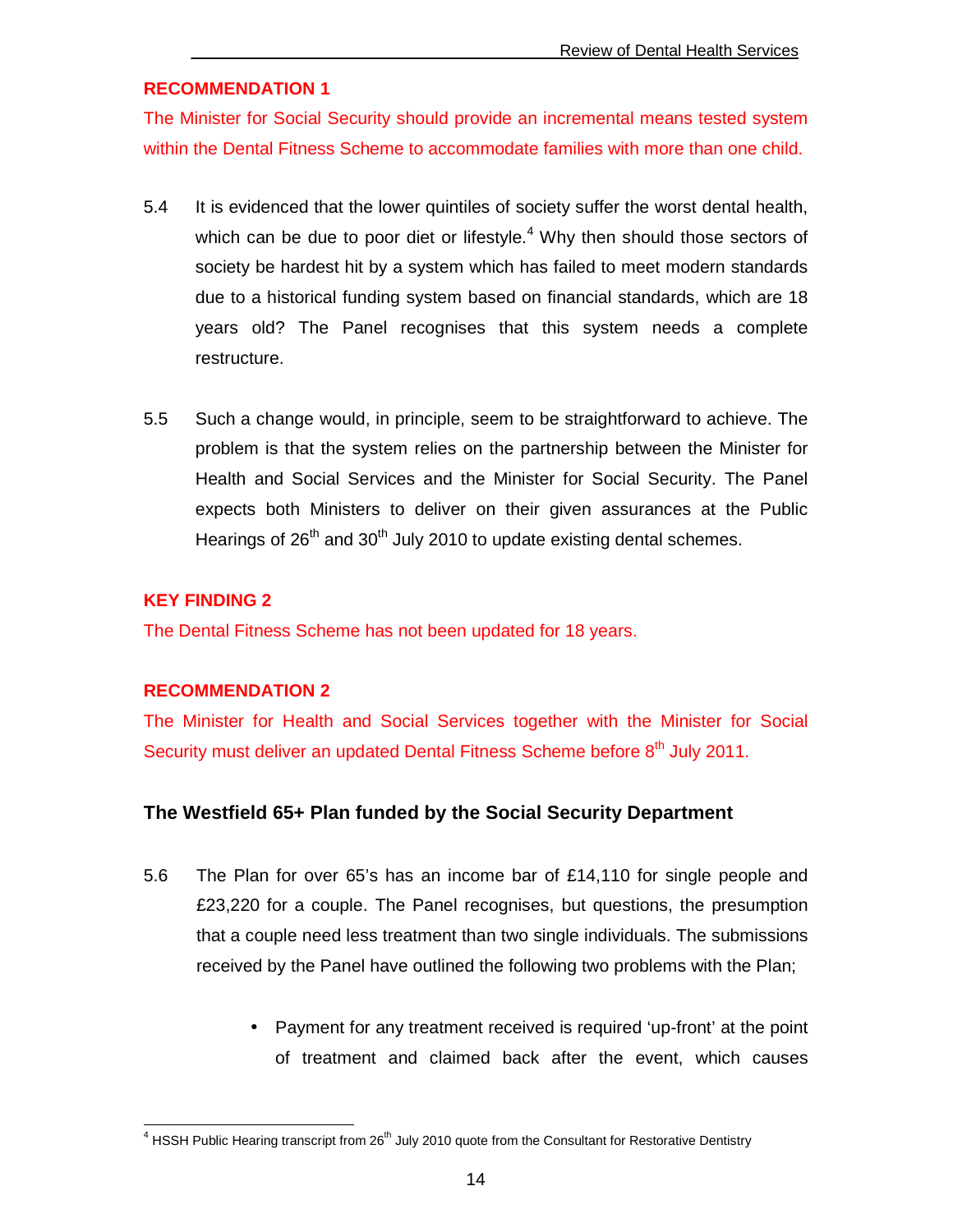#### **RECOMMENDATION 1**

The Minister for Social Security should provide an incremental means tested system within the Dental Fitness Scheme to accommodate families with more than one child.

- 5.4 It is evidenced that the lower quintiles of society suffer the worst dental health, which can be due to poor diet or lifestyle. $4$  Why then should those sectors of society be hardest hit by a system which has failed to meet modern standards due to a historical funding system based on financial standards, which are 18 years old? The Panel recognises that this system needs a complete restructure.
- 5.5 Such a change would, in principle, seem to be straightforward to achieve. The problem is that the system relies on the partnership between the Minister for Health and Social Services and the Minister for Social Security. The Panel expects both Ministers to deliver on their given assurances at the Public Hearings of  $26<sup>th</sup>$  and  $30<sup>th</sup>$  July 2010 to update existing dental schemes.

#### **KEY FINDING 2**

The Dental Fitness Scheme has not been updated for 18 years.

#### **RECOMMENDATION 2**

The Minister for Health and Social Services together with the Minister for Social Security must deliver an updated Dental Fitness Scheme before 8<sup>th</sup> July 2011.

#### **The Westfield 65+ Plan funded by the Social Security Department**

- 5.6 The Plan for over 65's has an income bar of £14,110 for single people and £23,220 for a couple. The Panel recognises, but questions, the presumption that a couple need less treatment than two single individuals. The submissions received by the Panel have outlined the following two problems with the Plan;
	- Payment for any treatment received is required 'up-front' at the point of treatment and claimed back after the event, which causes

<sup>4&</sup>lt;br><sup>4</sup> HSSH Public Hearing transcript from 26<sup>th</sup> July 2010 quote from the Consultant for Restorative Dentistry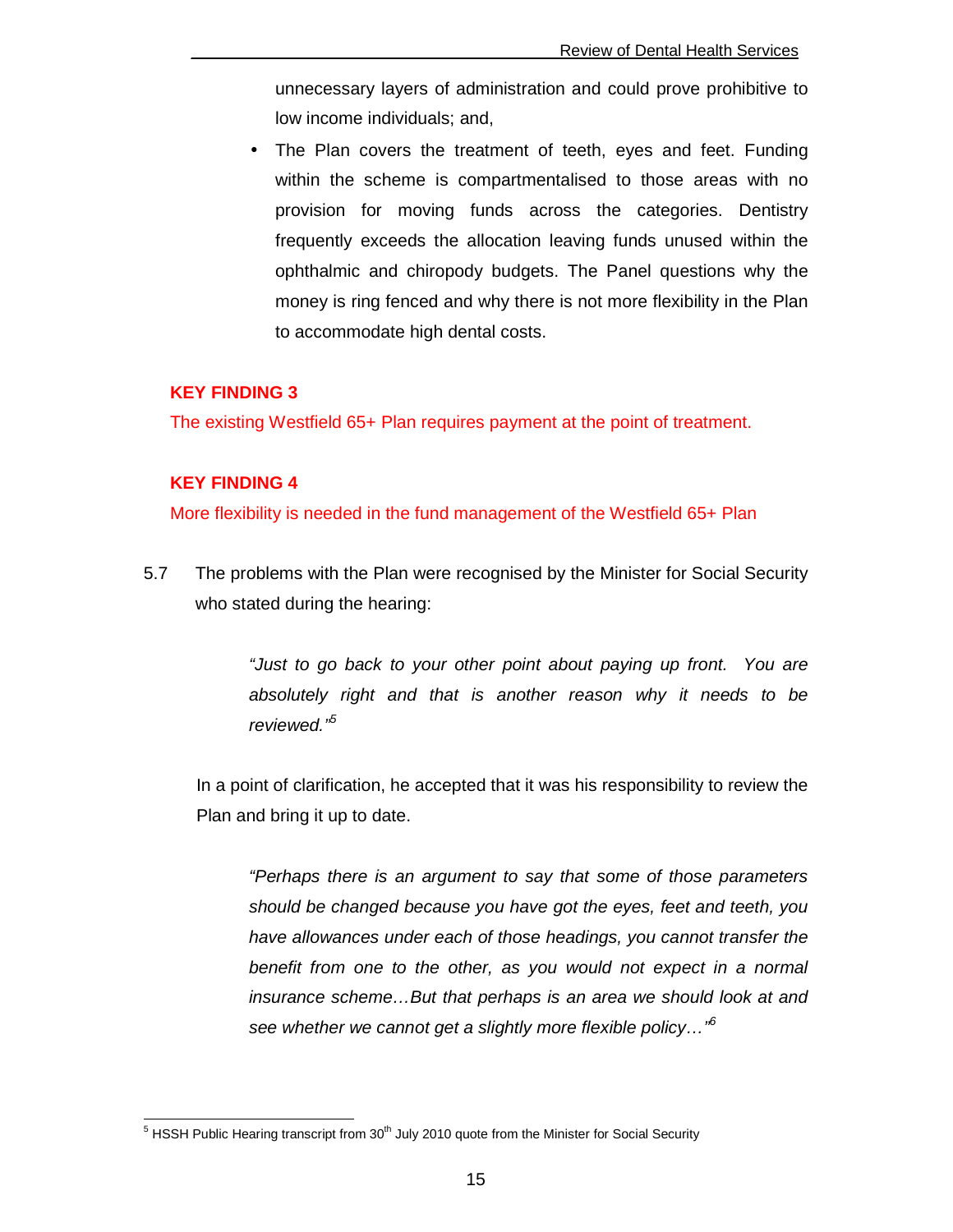unnecessary layers of administration and could prove prohibitive to low income individuals; and,

• The Plan covers the treatment of teeth, eyes and feet. Funding within the scheme is compartmentalised to those areas with no provision for moving funds across the categories. Dentistry frequently exceeds the allocation leaving funds unused within the ophthalmic and chiropody budgets. The Panel questions why the money is ring fenced and why there is not more flexibility in the Plan to accommodate high dental costs.

#### **KEY FINDING 3**

The existing Westfield 65+ Plan requires payment at the point of treatment.

#### **KEY FINDING 4**

More flexibility is needed in the fund management of the Westfield 65+ Plan

5.7 The problems with the Plan were recognised by the Minister for Social Security who stated during the hearing:

> "Just to go back to your other point about paying up front. You are absolutely right and that is another reason why it needs to be reviewed."<sup>5</sup>

 In a point of clarification, he accepted that it was his responsibility to review the Plan and bring it up to date.

"Perhaps there is an argument to say that some of those parameters should be changed because you have got the eyes, feet and teeth, you have allowances under each of those headings, you cannot transfer the benefit from one to the other, as you would not expect in a normal insurance scheme…But that perhaps is an area we should look at and see whether we cannot get a slightly more flexible policy...<sup>"6</sup>

<sup>-</sup><sup>5</sup> HSSH Public Hearing transcript from 30<sup>th</sup> July 2010 quote from the Minister for Social Security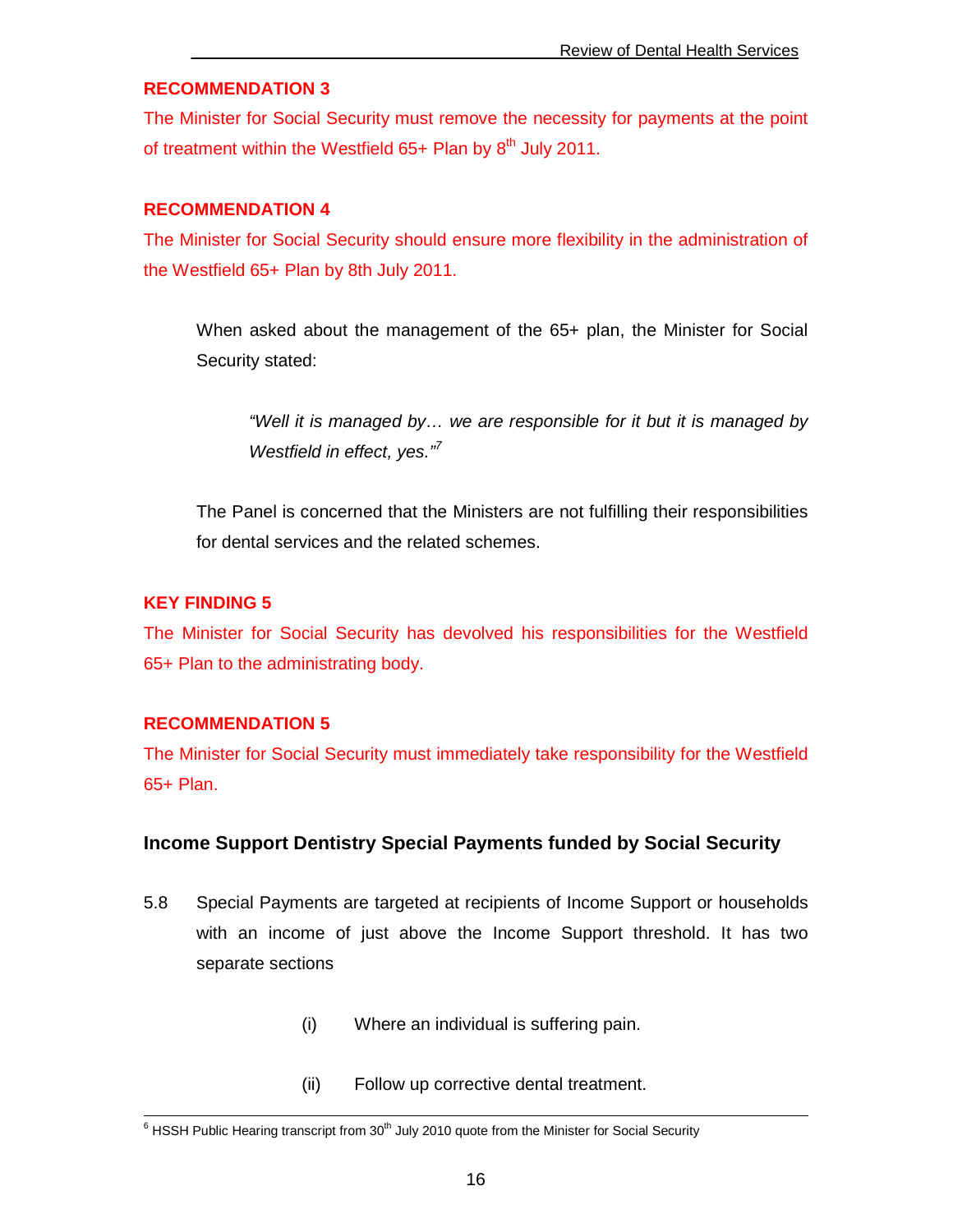#### **RECOMMENDATION 3**

The Minister for Social Security must remove the necessity for payments at the point of treatment within the Westfield  $65+$  Plan by  $8<sup>th</sup>$  July 2011.

#### **RECOMMENDATION 4**

The Minister for Social Security should ensure more flexibility in the administration of the Westfield 65+ Plan by 8th July 2011.

When asked about the management of the 65+ plan, the Minister for Social Security stated:

"Well it is managed by… we are responsible for it but it is managed by Westfield in effect, yes. $\sqrt[n]{}$ 

 The Panel is concerned that the Ministers are not fulfilling their responsibilities for dental services and the related schemes.

#### **KEY FINDING 5**

The Minister for Social Security has devolved his responsibilities for the Westfield 65+ Plan to the administrating body.

#### **RECOMMENDATION 5**

The Minister for Social Security must immediately take responsibility for the Westfield 65+ Plan.

#### **Income Support Dentistry Special Payments funded by Social Security**

- 5.8 Special Payments are targeted at recipients of Income Support or households with an income of just above the Income Support threshold. It has two separate sections
	- (i) Where an individual is suffering pain.
	- (ii) Follow up corrective dental treatment.

<sup>&</sup>lt;sup>6</sup> HSSH Public Hearing transcript from 30<sup>th</sup> July 2010 quote from the Minister for Social Security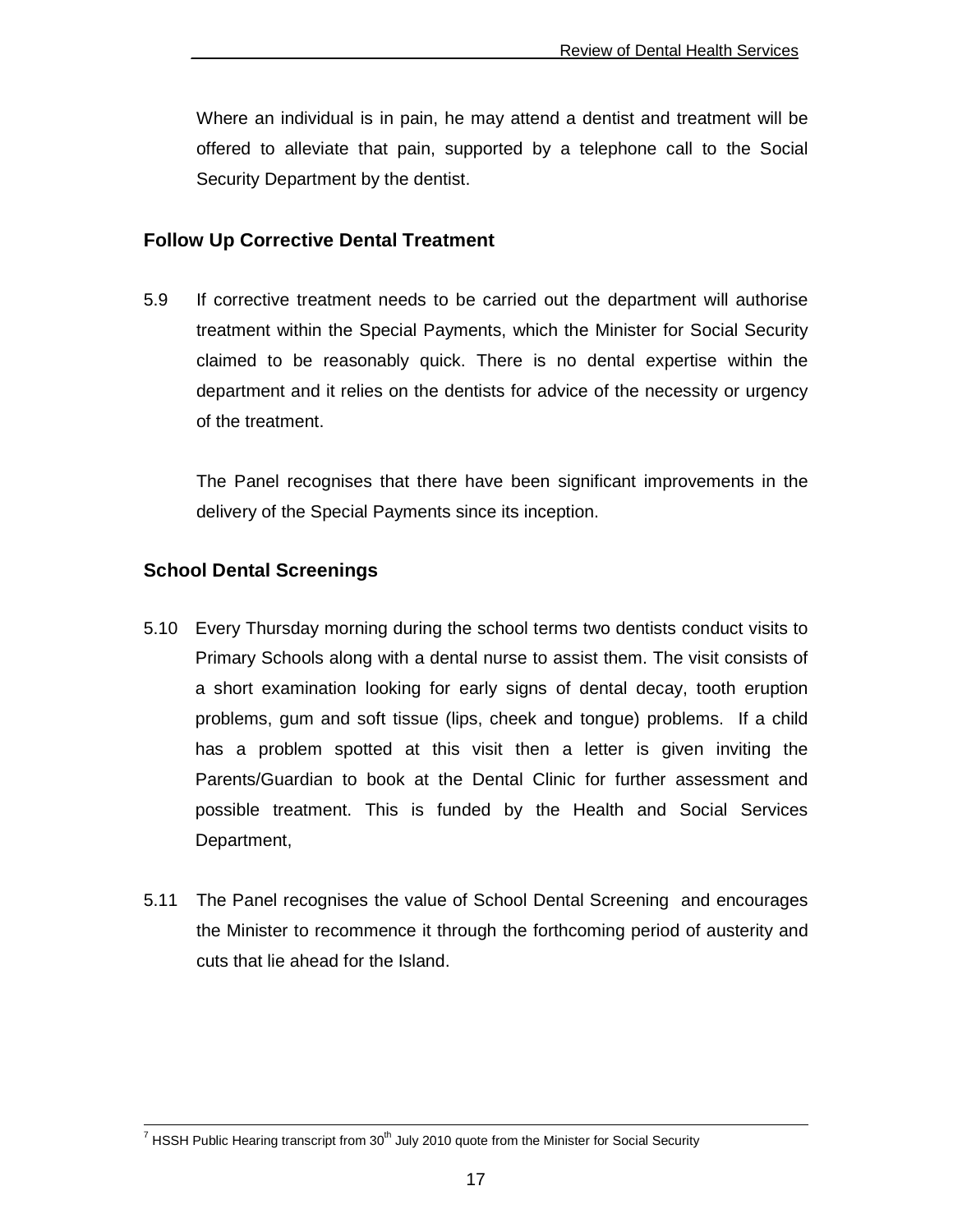Where an individual is in pain, he may attend a dentist and treatment will be offered to alleviate that pain, supported by a telephone call to the Social Security Department by the dentist.

#### **Follow Up Corrective Dental Treatment**

5.9 If corrective treatment needs to be carried out the department will authorise treatment within the Special Payments, which the Minister for Social Security claimed to be reasonably quick. There is no dental expertise within the department and it relies on the dentists for advice of the necessity or urgency of the treatment.

 The Panel recognises that there have been significant improvements in the delivery of the Special Payments since its inception.

#### **School Dental Screenings**

- 5.10 Every Thursday morning during the school terms two dentists conduct visits to Primary Schools along with a dental nurse to assist them. The visit consists of a short examination looking for early signs of dental decay, tooth eruption problems, gum and soft tissue (lips, cheek and tongue) problems. If a child has a problem spotted at this visit then a letter is given inviting the Parents/Guardian to book at the Dental Clinic for further assessment and possible treatment. This is funded by the Health and Social Services Department,
- 5.11 The Panel recognises the value of School Dental Screening and encourages the Minister to recommence it through the forthcoming period of austerity and cuts that lie ahead for the Island.

<sup>&</sup>lt;sup>7</sup> HSSH Public Hearing transcript from 30<sup>th</sup> July 2010 quote from the Minister for Social Security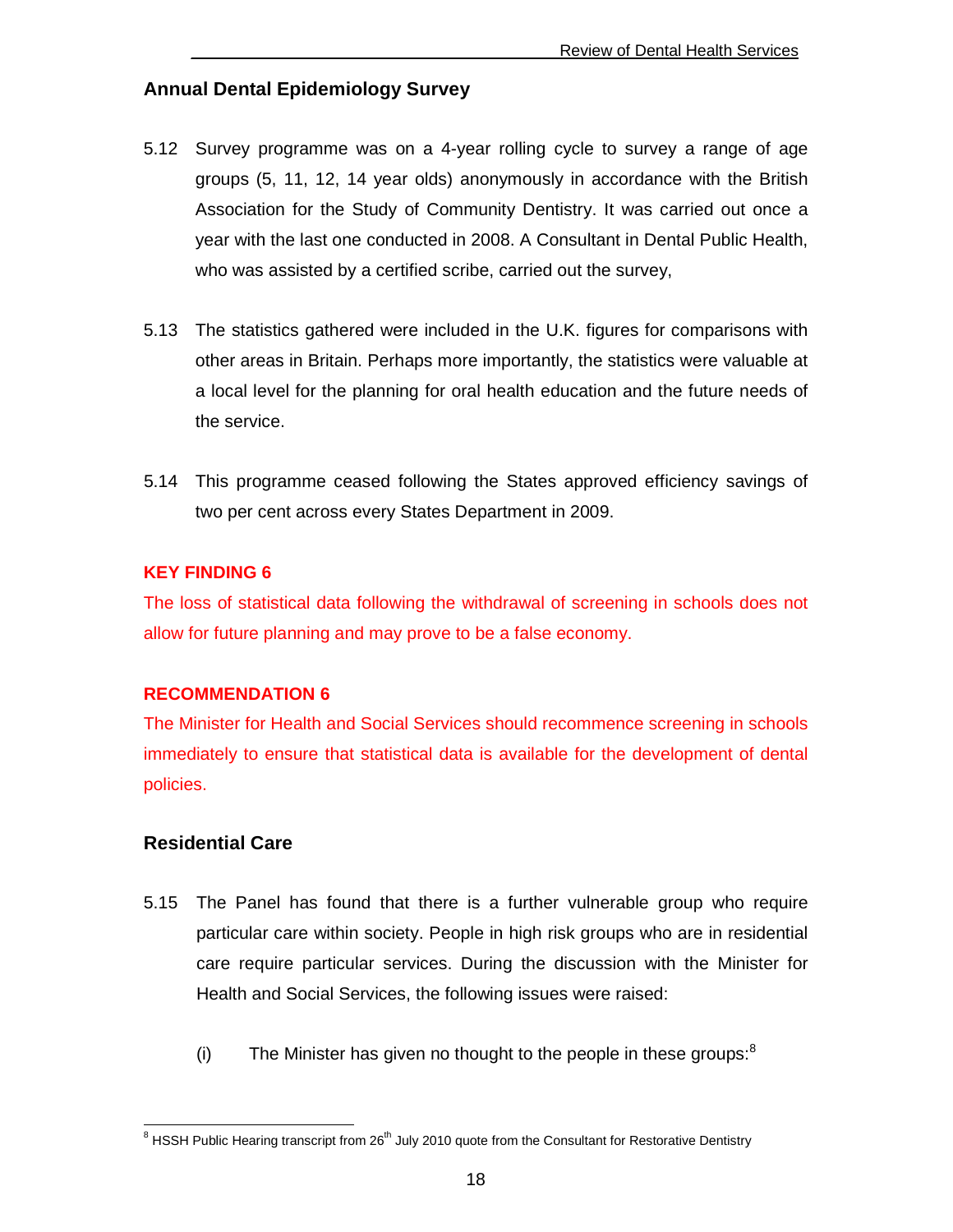#### **Annual Dental Epidemiology Survey**

- 5.12 Survey programme was on a 4-year rolling cycle to survey a range of age groups (5, 11, 12, 14 year olds) anonymously in accordance with the British Association for the Study of Community Dentistry. It was carried out once a year with the last one conducted in 2008. A Consultant in Dental Public Health, who was assisted by a certified scribe, carried out the survey,
- 5.13 The statistics gathered were included in the U.K. figures for comparisons with other areas in Britain. Perhaps more importantly, the statistics were valuable at a local level for the planning for oral health education and the future needs of the service.
- 5.14 This programme ceased following the States approved efficiency savings of two per cent across every States Department in 2009.

#### **KEY FINDING 6**

The loss of statistical data following the withdrawal of screening in schools does not allow for future planning and may prove to be a false economy.

#### **RECOMMENDATION 6**

The Minister for Health and Social Services should recommence screening in schools immediately to ensure that statistical data is available for the development of dental policies.

#### **Residential Care**

- 5.15 The Panel has found that there is a further vulnerable group who require particular care within society. People in high risk groups who are in residential care require particular services. During the discussion with the Minister for Health and Social Services, the following issues were raised:
	- (i) The Minister has given no thought to the people in these groups: $8$

<sup>8&</sup>lt;br>8 HSSH Public Hearing transcript from 26<sup>th</sup> July 2010 quote from the Consultant for Restorative Dentistry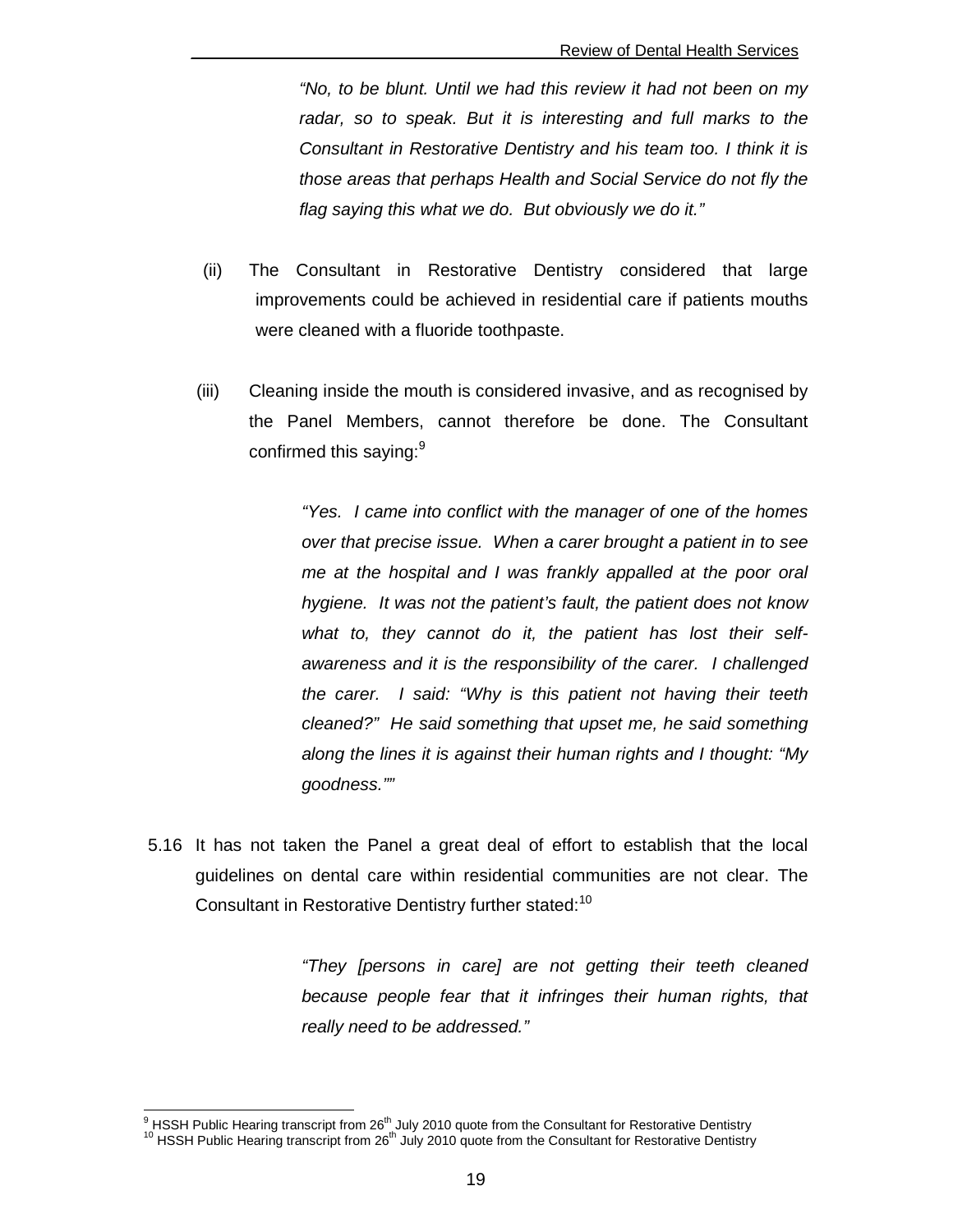"No, to be blunt. Until we had this review it had not been on my radar, so to speak. But it is interesting and full marks to the Consultant in Restorative Dentistry and his team too. I think it is those areas that perhaps Health and Social Service do not fly the flag saying this what we do. But obviously we do it."

- (ii) The Consultant in Restorative Dentistry considered that large improvements could be achieved in residential care if patients mouths were cleaned with a fluoride toothpaste.
- (iii) Cleaning inside the mouth is considered invasive, and as recognised by the Panel Members, cannot therefore be done. The Consultant confirmed this saying:<sup>9</sup>

"Yes. I came into conflict with the manager of one of the homes over that precise issue. When a carer brought a patient in to see me at the hospital and I was frankly appalled at the poor oral hygiene. It was not the patient's fault, the patient does not know what to, they cannot do it, the patient has lost their selfawareness and it is the responsibility of the carer. I challenged the carer. I said: "Why is this patient not having their teeth cleaned?" He said something that upset me, he said something along the lines it is against their human rights and I thought: "My goodness.""

5.16 It has not taken the Panel a great deal of effort to establish that the local guidelines on dental care within residential communities are not clear. The Consultant in Restorative Dentistry further stated:<sup>10</sup>

> "They [persons in care] are not getting their teeth cleaned because people fear that it infringes their human rights, that really need to be addressed."

<sup>9&</sup>lt;br><sup>9</sup> HSSH Public Hearing transcript from 26<sup>th</sup> July 2010 quote from the Consultant for Restorative Dentistry

<sup>&</sup>lt;sup>10</sup> HSSH Public Hearing transcript from 26<sup>th</sup> July 2010 quote from the Consultant for Restorative Dentistry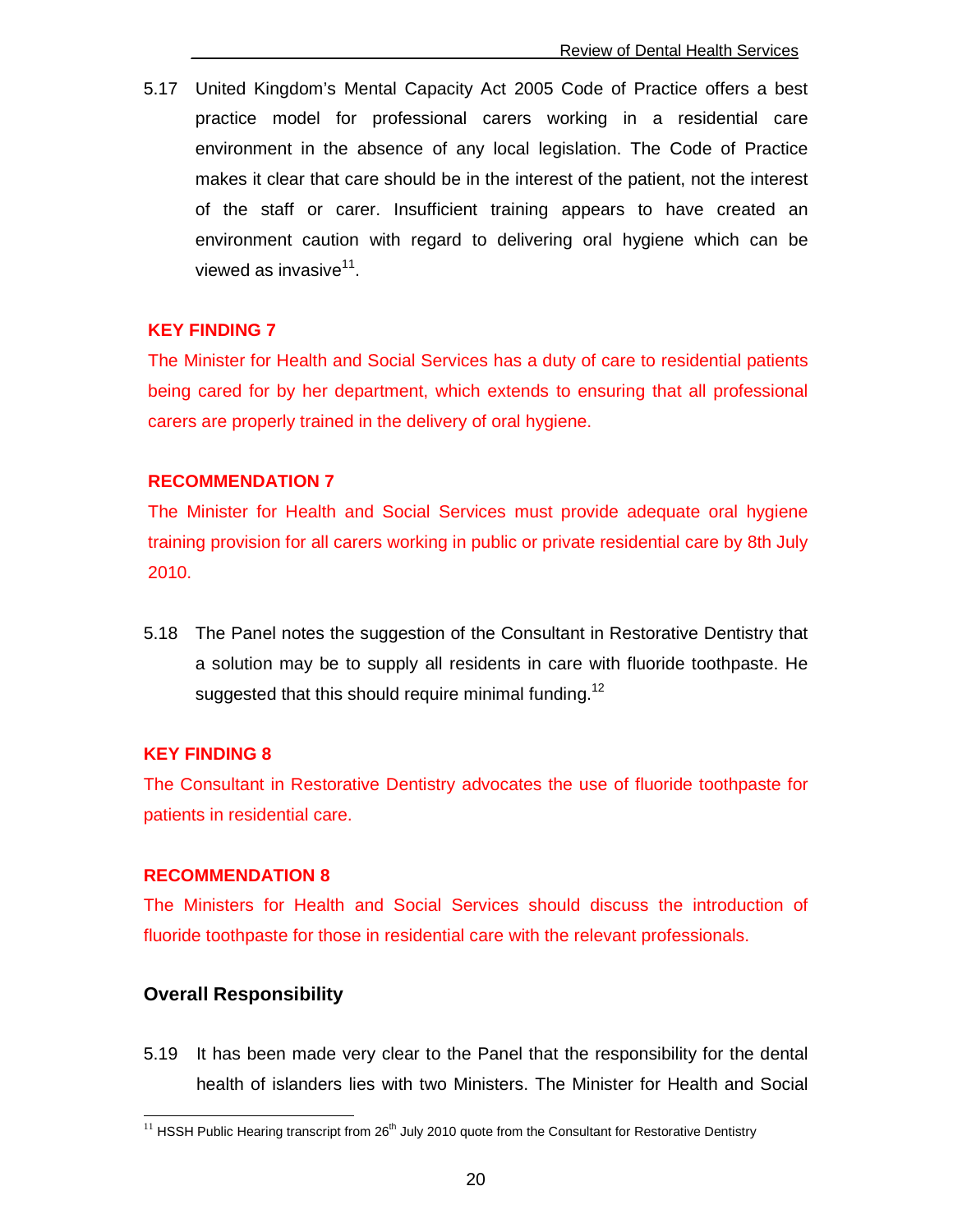5.17 United Kingdom's Mental Capacity Act 2005 Code of Practice offers a best practice model for professional carers working in a residential care environment in the absence of any local legislation. The Code of Practice makes it clear that care should be in the interest of the patient, not the interest of the staff or carer. Insufficient training appears to have created an environment caution with regard to delivering oral hygiene which can be viewed as invasive<sup>11</sup>.

#### **KEY FINDING 7**

The Minister for Health and Social Services has a duty of care to residential patients being cared for by her department, which extends to ensuring that all professional carers are properly trained in the delivery of oral hygiene.

#### **RECOMMENDATION 7**

The Minister for Health and Social Services must provide adequate oral hygiene training provision for all carers working in public or private residential care by 8th July 2010.

5.18 The Panel notes the suggestion of the Consultant in Restorative Dentistry that a solution may be to supply all residents in care with fluoride toothpaste. He suggested that this should require minimal funding.<sup>12</sup>

#### **KEY FINDING 8**

The Consultant in Restorative Dentistry advocates the use of fluoride toothpaste for patients in residential care.

#### **RECOMMENDATION 8**

The Ministers for Health and Social Services should discuss the introduction of fluoride toothpaste for those in residential care with the relevant professionals.

#### **Overall Responsibility**

 $\overline{a}$ 

5.19 It has been made very clear to the Panel that the responsibility for the dental health of islanders lies with two Ministers. The Minister for Health and Social

 $11$  HSSH Public Hearing transcript from 26<sup>th</sup> July 2010 quote from the Consultant for Restorative Dentistry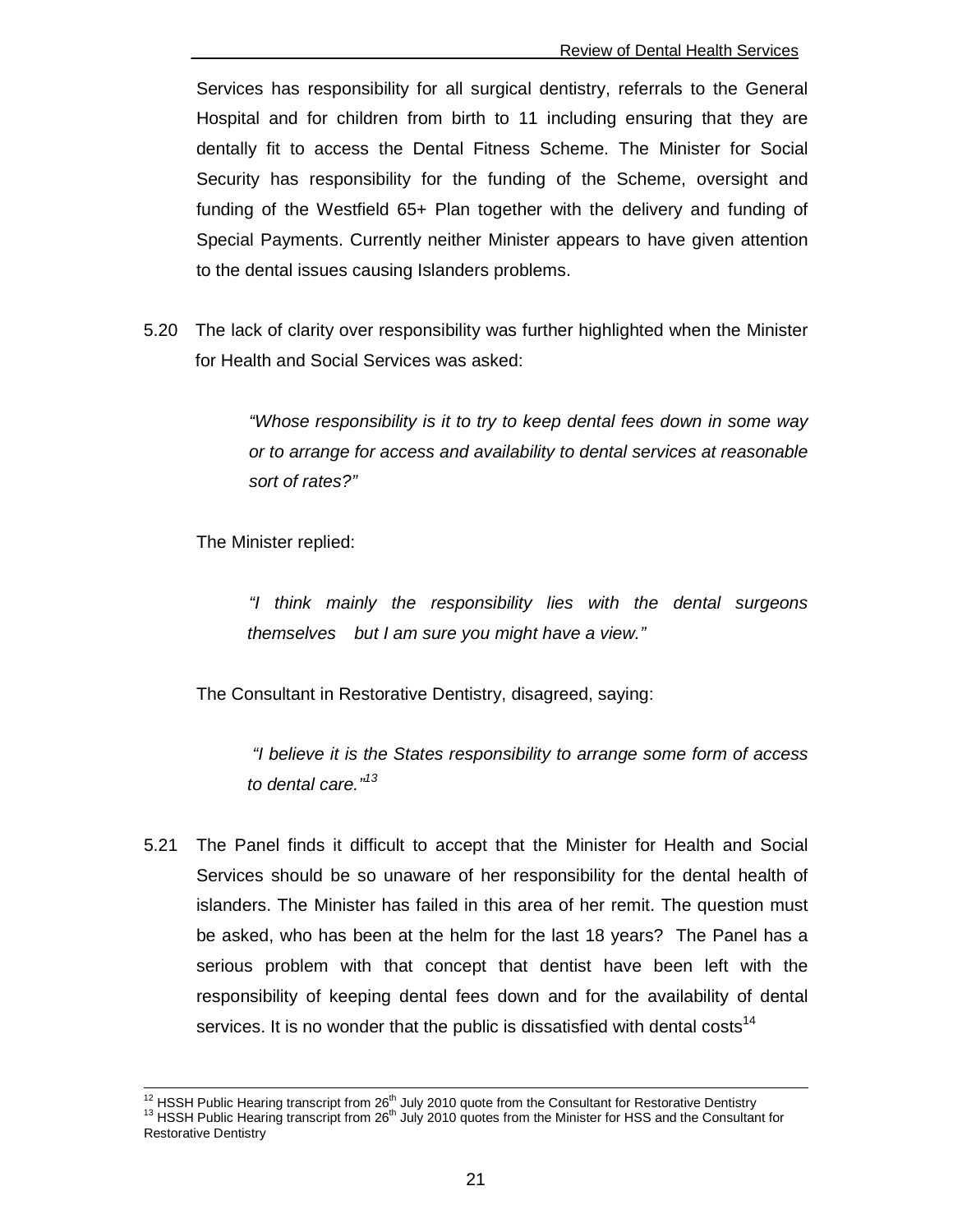Services has responsibility for all surgical dentistry, referrals to the General Hospital and for children from birth to 11 including ensuring that they are dentally fit to access the Dental Fitness Scheme. The Minister for Social Security has responsibility for the funding of the Scheme, oversight and funding of the Westfield 65+ Plan together with the delivery and funding of Special Payments. Currently neither Minister appears to have given attention to the dental issues causing Islanders problems.

5.20 The lack of clarity over responsibility was further highlighted when the Minister for Health and Social Services was asked:

> "Whose responsibility is it to try to keep dental fees down in some way or to arrange for access and availability to dental services at reasonable sort of rates?"

The Minister replied:

 $\overline{a}$ 

 "I think mainly the responsibility lies with the dental surgeons themselves but I am sure you might have a view."

The Consultant in Restorative Dentistry, disagreed, saying:

 "I believe it is the States responsibility to arrange some form of access to dental care."<sup>13</sup>

5.21 The Panel finds it difficult to accept that the Minister for Health and Social Services should be so unaware of her responsibility for the dental health of islanders. The Minister has failed in this area of her remit. The question must be asked, who has been at the helm for the last 18 years? The Panel has a serious problem with that concept that dentist have been left with the responsibility of keeping dental fees down and for the availability of dental services. It is no wonder that the public is dissatisfied with dental costs<sup>14</sup>

<sup>&</sup>lt;sup>12</sup> HSSH Public Hearing transcript from 26<sup>th</sup> July 2010 quote from the Consultant for Restorative Dentistry <sup>13</sup> HSSH Public Hearing transcript from 26<sup>th</sup> July 2010 quotes from the Minister for HSS and the Consultant for Restorative Dentistry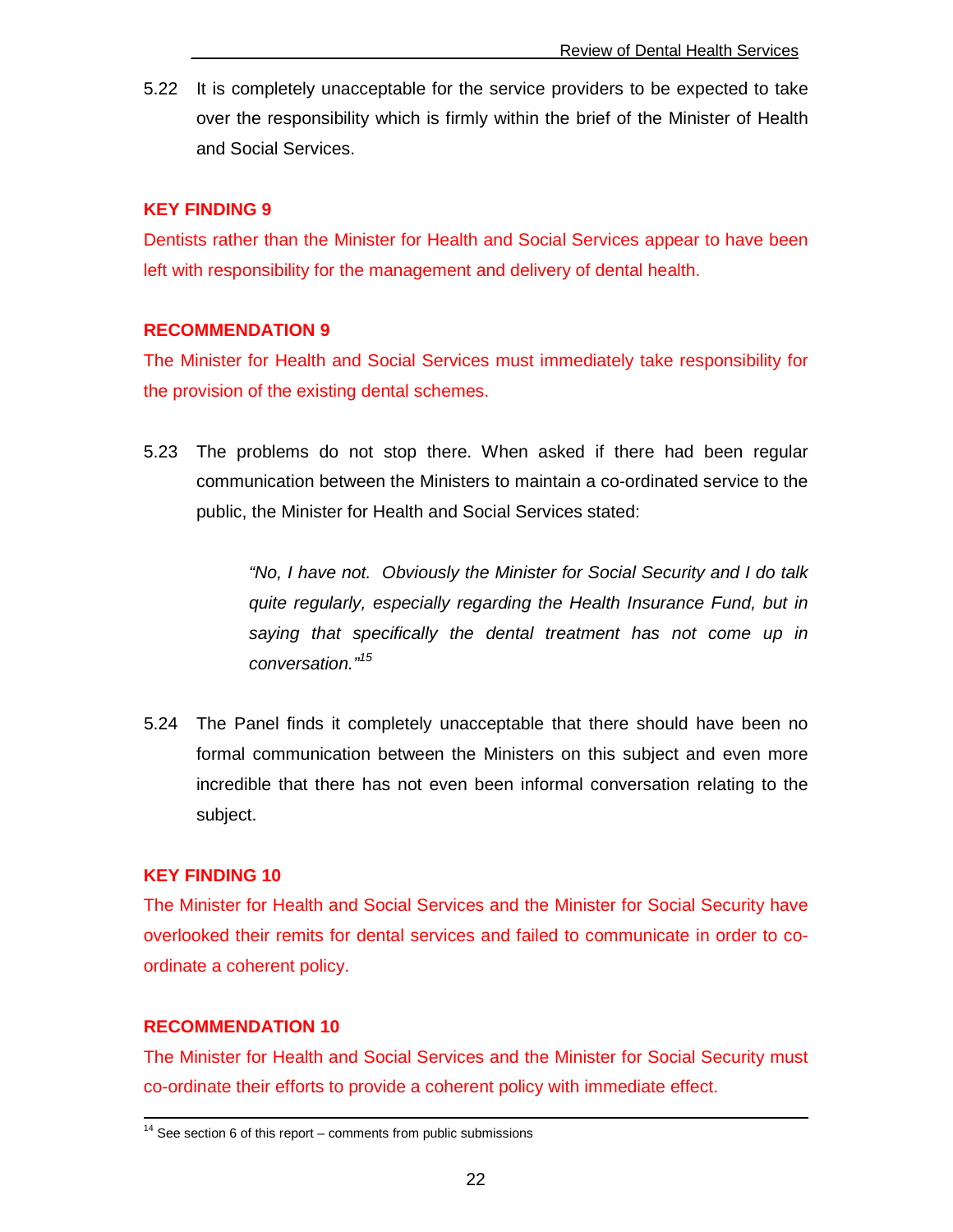5.22 It is completely unacceptable for the service providers to be expected to take over the responsibility which is firmly within the brief of the Minister of Health and Social Services.

#### **KEY FINDING 9**

Dentists rather than the Minister for Health and Social Services appear to have been left with responsibility for the management and delivery of dental health.

#### **RECOMMENDATION 9**

The Minister for Health and Social Services must immediately take responsibility for the provision of the existing dental schemes.

5.23 The problems do not stop there. When asked if there had been regular communication between the Ministers to maintain a co-ordinated service to the public, the Minister for Health and Social Services stated:

> "No, I have not. Obviously the Minister for Social Security and I do talk quite regularly, especially regarding the Health Insurance Fund, but in saying that specifically the dental treatment has not come up in conversation."<sup>15</sup>

5.24 The Panel finds it completely unacceptable that there should have been no formal communication between the Ministers on this subject and even more incredible that there has not even been informal conversation relating to the subject.

#### **KEY FINDING 10**

The Minister for Health and Social Services and the Minister for Social Security have overlooked their remits for dental services and failed to communicate in order to coordinate a coherent policy.

#### **RECOMMENDATION 10**

-

The Minister for Health and Social Services and the Minister for Social Security must co-ordinate their efforts to provide a coherent policy with immediate effect.

 $14$  See section 6 of this report – comments from public submissions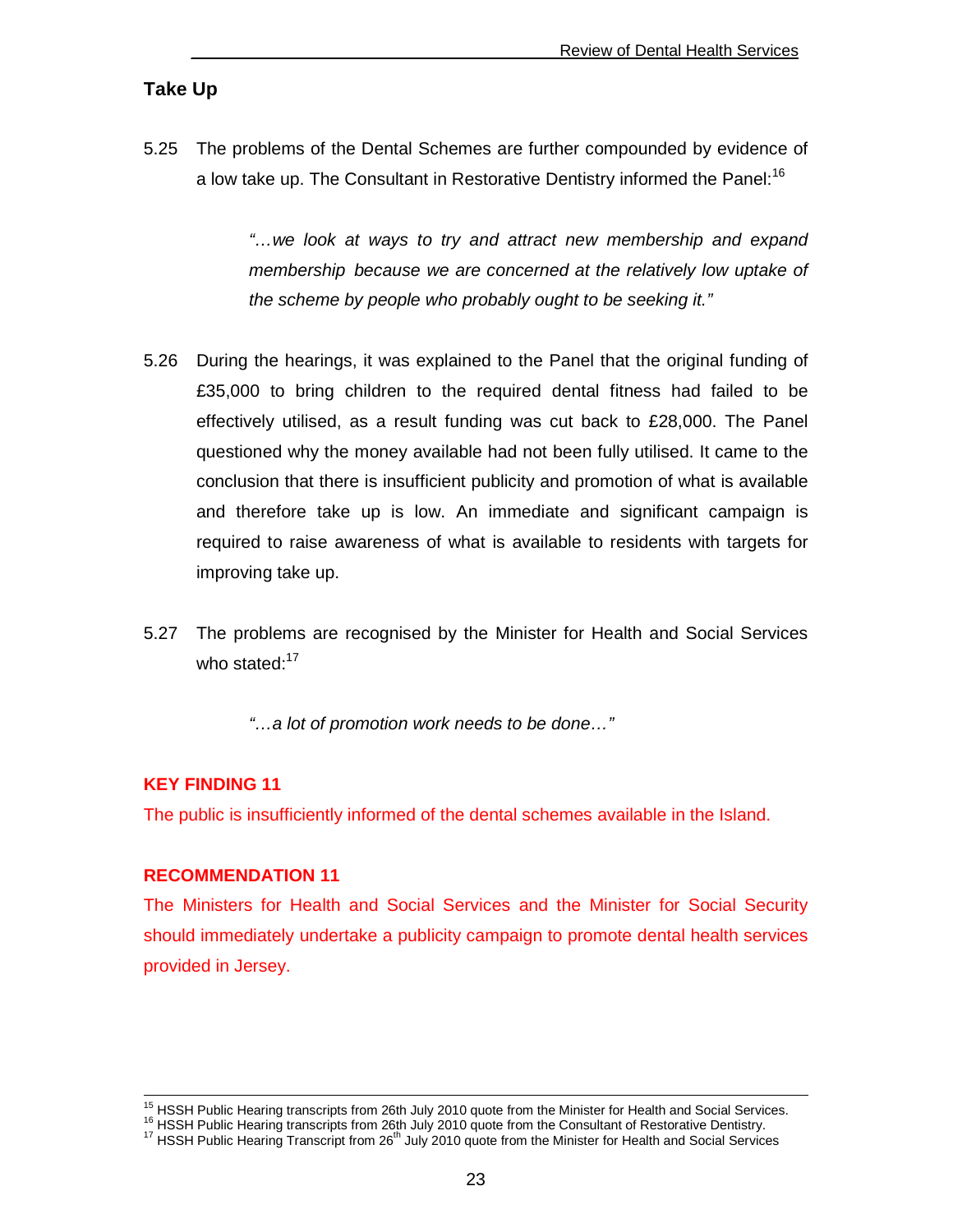#### **Take Up**

5.25 The problems of the Dental Schemes are further compounded by evidence of a low take up. The Consultant in Restorative Dentistry informed the Panel:<sup>16</sup>

> "…we look at ways to try and attract new membership and expand membership because we are concerned at the relatively low uptake of the scheme by people who probably ought to be seeking it."

- 5.26 During the hearings, it was explained to the Panel that the original funding of £35,000 to bring children to the required dental fitness had failed to be effectively utilised, as a result funding was cut back to £28,000. The Panel questioned why the money available had not been fully utilised. It came to the conclusion that there is insufficient publicity and promotion of what is available and therefore take up is low. An immediate and significant campaign is required to raise awareness of what is available to residents with targets for improving take up.
- 5.27 The problems are recognised by the Minister for Health and Social Services who stated:<sup>17</sup>
	- "…a lot of promotion work needs to be done…"

#### **KEY FINDING 11**

 $\overline{a}$ 

The public is insufficiently informed of the dental schemes available in the Island.

#### **RECOMMENDATION 11**

The Ministers for Health and Social Services and the Minister for Social Security should immediately undertake a publicity campaign to promote dental health services provided in Jersey.

 $15$  HSSH Public Hearing transcripts from 26th July 2010 quote from the Minister for Health and Social Services.

 $16$  HSSH Public Hearing transcripts from 26th July 2010 quote from the Consultant of Restorative Dentistry. <sup>17</sup> HSSH Public Hearing Transcript from 26<sup>th</sup> July 2010 quote from the Minister for Health and Social Services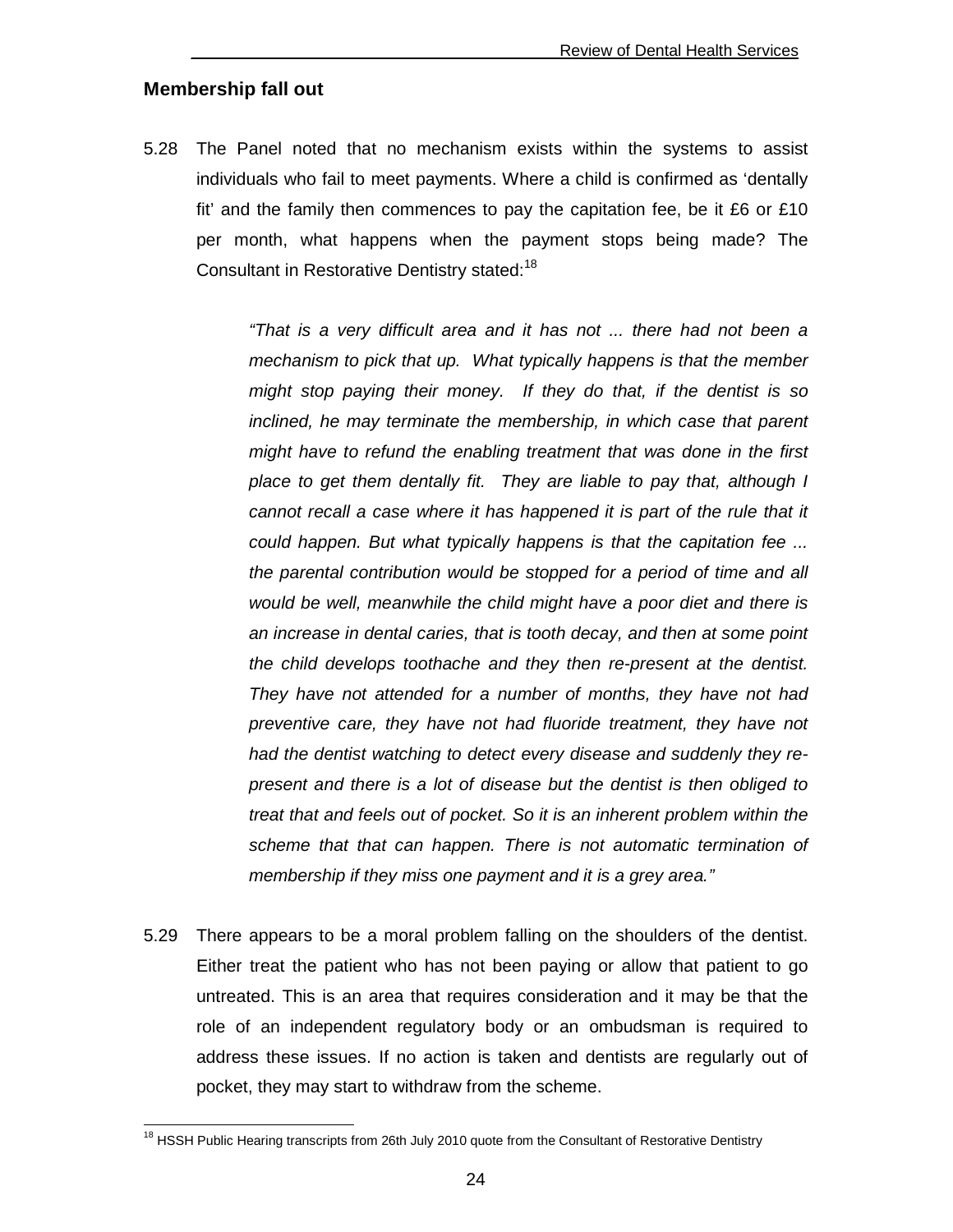#### **Membership fall out**

 $\overline{\phantom{a}}$ 

5.28 The Panel noted that no mechanism exists within the systems to assist individuals who fail to meet payments. Where a child is confirmed as 'dentally fit' and the family then commences to pay the capitation fee, be it £6 or £10 per month, what happens when the payment stops being made? The Consultant in Restorative Dentistry stated:<sup>18</sup>

> "That is a very difficult area and it has not ... there had not been a mechanism to pick that up. What typically happens is that the member might stop paying their money. If they do that, if the dentist is so inclined, he may terminate the membership, in which case that parent might have to refund the enabling treatment that was done in the first place to get them dentally fit. They are liable to pay that, although I cannot recall a case where it has happened it is part of the rule that it could happen. But what typically happens is that the capitation fee ... the parental contribution would be stopped for a period of time and all would be well, meanwhile the child might have a poor diet and there is an increase in dental caries, that is tooth decay, and then at some point the child develops toothache and they then re-present at the dentist. They have not attended for a number of months, they have not had preventive care, they have not had fluoride treatment, they have not had the dentist watching to detect every disease and suddenly they represent and there is a lot of disease but the dentist is then obliged to treat that and feels out of pocket. So it is an inherent problem within the scheme that that can happen. There is not automatic termination of membership if they miss one payment and it is a grey area."

5.29 There appears to be a moral problem falling on the shoulders of the dentist. Either treat the patient who has not been paying or allow that patient to go untreated. This is an area that requires consideration and it may be that the role of an independent regulatory body or an ombudsman is required to address these issues. If no action is taken and dentists are regularly out of pocket, they may start to withdraw from the scheme.

<sup>&</sup>lt;sup>18</sup> HSSH Public Hearing transcripts from 26th July 2010 quote from the Consultant of Restorative Dentistry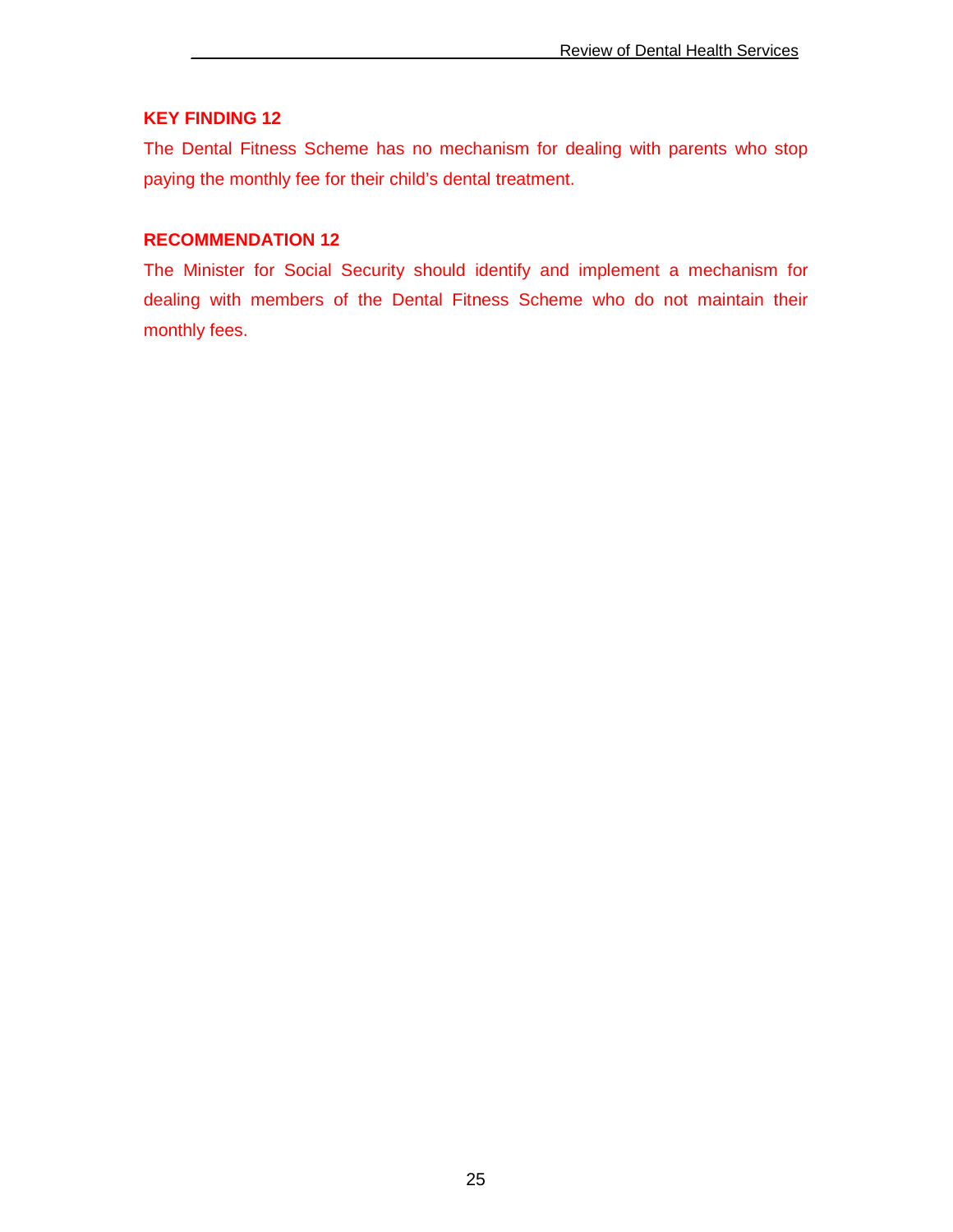#### **KEY FINDING 12**

The Dental Fitness Scheme has no mechanism for dealing with parents who stop paying the monthly fee for their child's dental treatment.

#### **RECOMMENDATION 12**

The Minister for Social Security should identify and implement a mechanism for dealing with members of the Dental Fitness Scheme who do not maintain their monthly fees.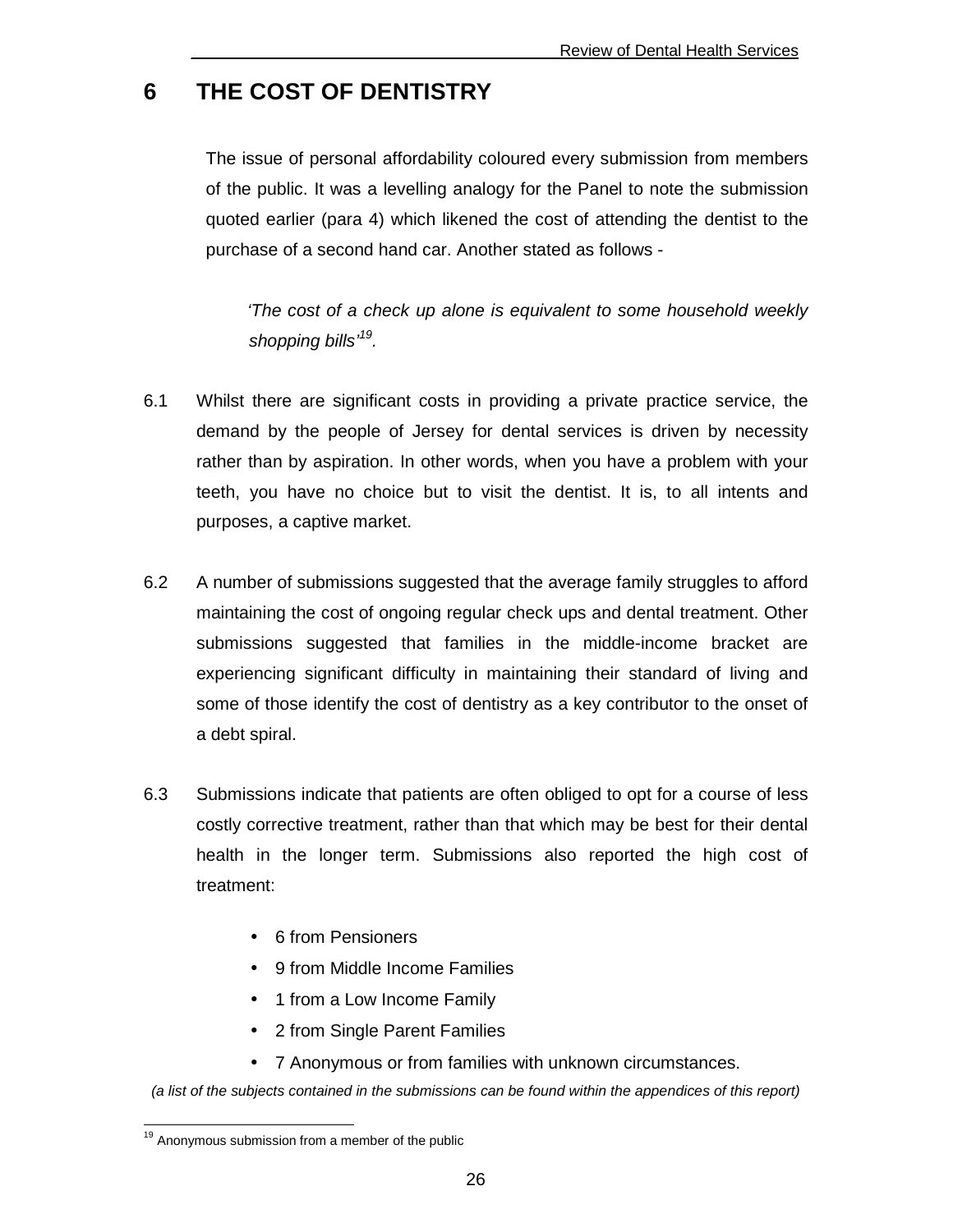## **6 THE COST OF DENTISTRY**

 The issue of personal affordability coloured every submission from members of the public. It was a levelling analogy for the Panel to note the submission quoted earlier (para 4) which likened the cost of attending the dentist to the purchase of a second hand car. Another stated as follows -

'The cost of a check up alone is equivalent to some household weekly shopping bills<sup>,19</sup>.

- 6.1 Whilst there are significant costs in providing a private practice service, the demand by the people of Jersey for dental services is driven by necessity rather than by aspiration. In other words, when you have a problem with your teeth, you have no choice but to visit the dentist. It is, to all intents and purposes, a captive market.
- 6.2 A number of submissions suggested that the average family struggles to afford maintaining the cost of ongoing regular check ups and dental treatment. Other submissions suggested that families in the middle-income bracket are experiencing significant difficulty in maintaining their standard of living and some of those identify the cost of dentistry as a key contributor to the onset of a debt spiral.
- 6.3 Submissions indicate that patients are often obliged to opt for a course of less costly corrective treatment, rather than that which may be best for their dental health in the longer term. Submissions also reported the high cost of treatment:
	- 6 from Pensioners
	- 9 from Middle Income Families
	- 1 from a Low Income Family
	- 2 from Single Parent Families
	- 7 Anonymous or from families with unknown circumstances.

(a list of the subjects contained in the submissions can be found within the appendices of this report)

 $\overline{\phantom{a}}$ <sup>19</sup> Anonymous submission from a member of the public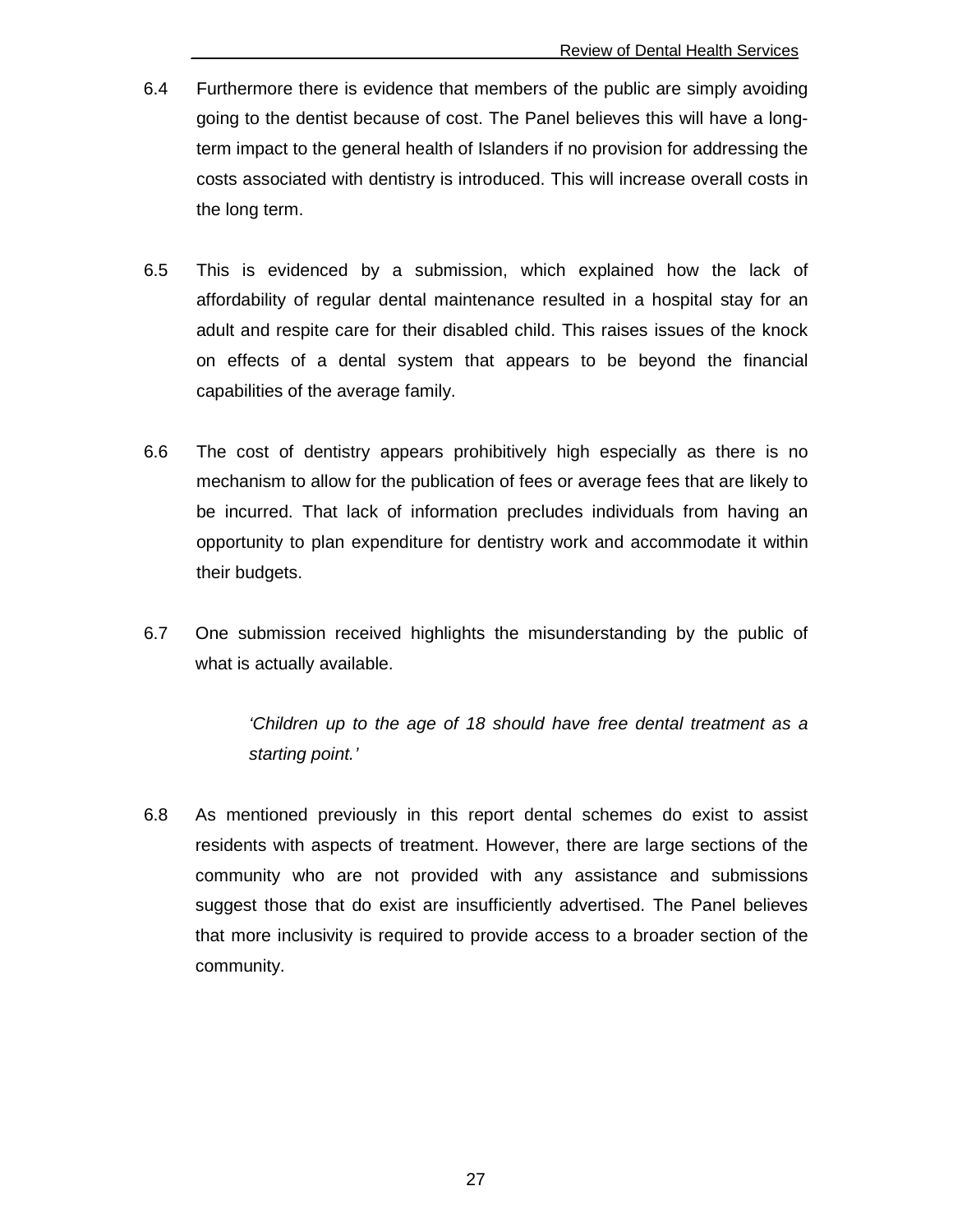- 6.4 Furthermore there is evidence that members of the public are simply avoiding going to the dentist because of cost. The Panel believes this will have a longterm impact to the general health of Islanders if no provision for addressing the costs associated with dentistry is introduced. This will increase overall costs in the long term.
- 6.5 This is evidenced by a submission, which explained how the lack of affordability of regular dental maintenance resulted in a hospital stay for an adult and respite care for their disabled child. This raises issues of the knock on effects of a dental system that appears to be beyond the financial capabilities of the average family.
- 6.6 The cost of dentistry appears prohibitively high especially as there is no mechanism to allow for the publication of fees or average fees that are likely to be incurred. That lack of information precludes individuals from having an opportunity to plan expenditure for dentistry work and accommodate it within their budgets.
- 6.7 One submission received highlights the misunderstanding by the public of what is actually available.

'Children up to the age of 18 should have free dental treatment as a starting point.'

6.8 As mentioned previously in this report dental schemes do exist to assist residents with aspects of treatment. However, there are large sections of the community who are not provided with any assistance and submissions suggest those that do exist are insufficiently advertised. The Panel believes that more inclusivity is required to provide access to a broader section of the community.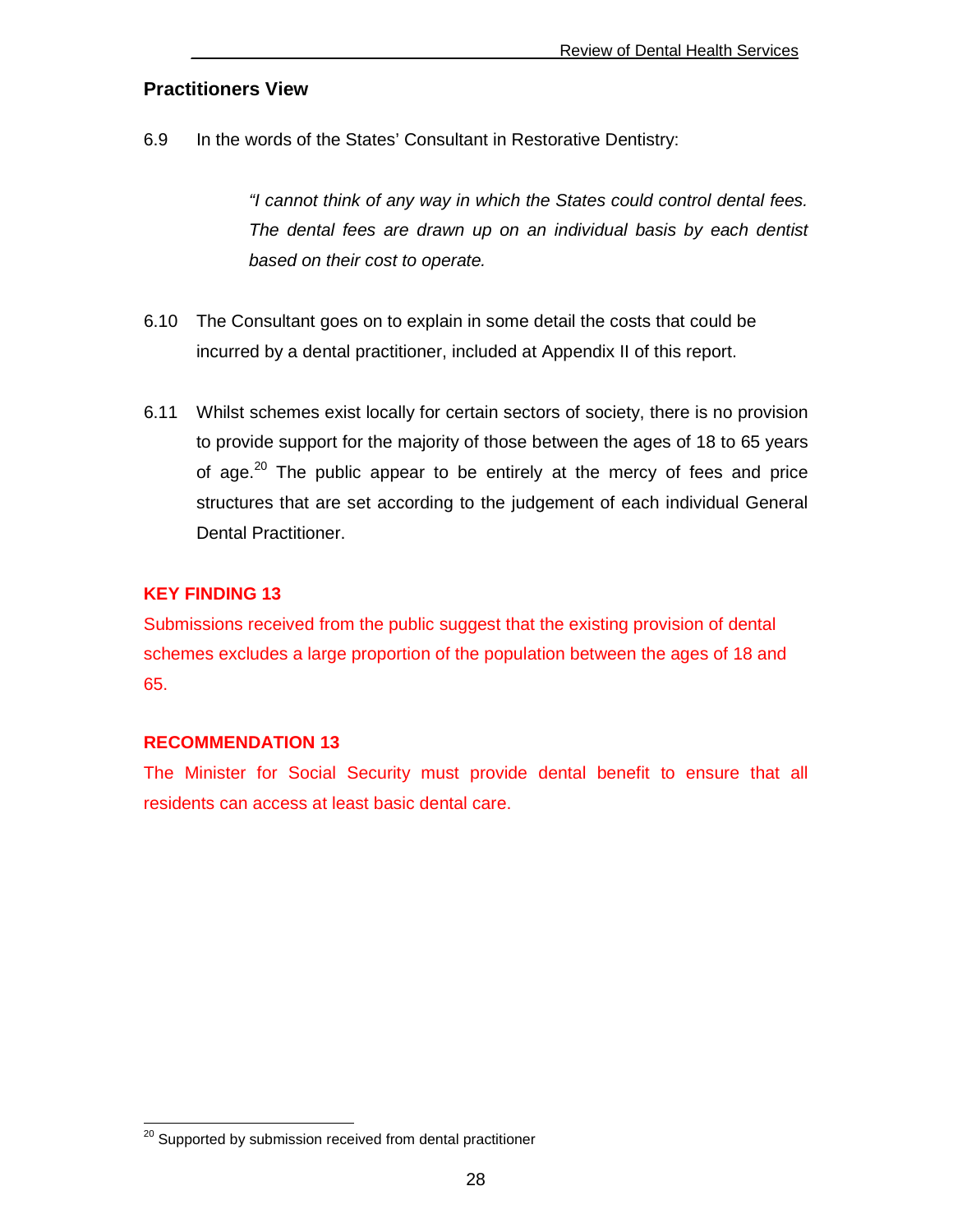#### **Practitioners View**

6.9 In the words of the States' Consultant in Restorative Dentistry:

"I cannot think of any way in which the States could control dental fees. The dental fees are drawn up on an individual basis by each dentist based on their cost to operate.

- 6.10 The Consultant goes on to explain in some detail the costs that could be incurred by a dental practitioner, included at Appendix II of this report.
- 6.11 Whilst schemes exist locally for certain sectors of society, there is no provision to provide support for the majority of those between the ages of 18 to 65 years of age.<sup>20</sup> The public appear to be entirely at the mercy of fees and price structures that are set according to the judgement of each individual General Dental Practitioner.

#### **KEY FINDING 13**

Submissions received from the public suggest that the existing provision of dental schemes excludes a large proportion of the population between the ages of 18 and 65.

#### **RECOMMENDATION 13**

 $\overline{a}$ 

The Minister for Social Security must provide dental benefit to ensure that all residents can access at least basic dental care.

<sup>&</sup>lt;sup>20</sup> Supported by submission received from dental practitioner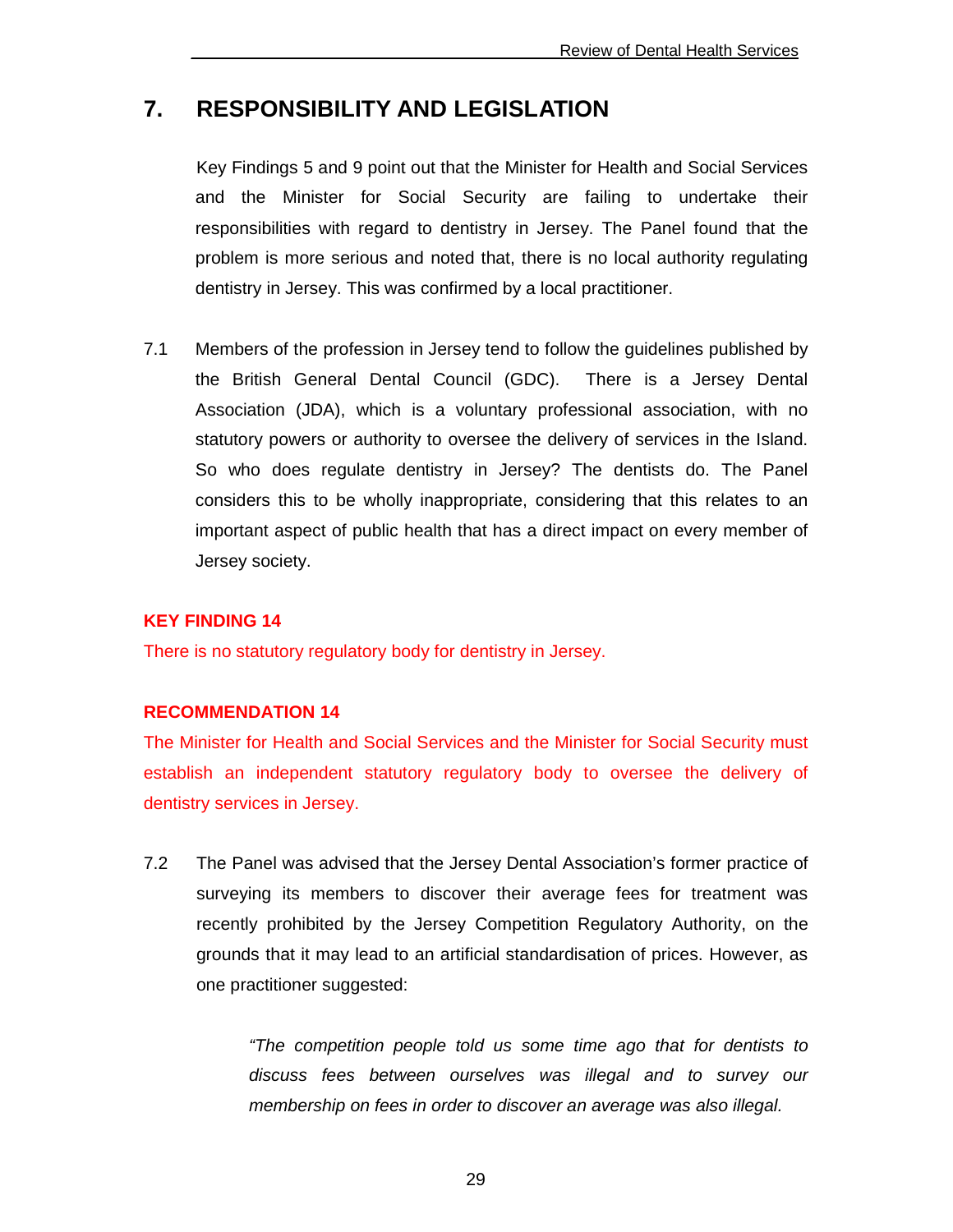## **7. RESPONSIBILITY AND LEGISLATION**

 Key Findings 5 and 9 point out that the Minister for Health and Social Services and the Minister for Social Security are failing to undertake their responsibilities with regard to dentistry in Jersey. The Panel found that the problem is more serious and noted that, there is no local authority regulating dentistry in Jersey. This was confirmed by a local practitioner.

7.1 Members of the profession in Jersey tend to follow the guidelines published by the British General Dental Council (GDC). There is a Jersey Dental Association (JDA), which is a voluntary professional association, with no statutory powers or authority to oversee the delivery of services in the Island. So who does regulate dentistry in Jersey? The dentists do. The Panel considers this to be wholly inappropriate, considering that this relates to an important aspect of public health that has a direct impact on every member of Jersey society.

#### **KEY FINDING 14**

There is no statutory regulatory body for dentistry in Jersey.

#### **RECOMMENDATION 14**

The Minister for Health and Social Services and the Minister for Social Security must establish an independent statutory regulatory body to oversee the delivery of dentistry services in Jersey.

7.2 The Panel was advised that the Jersey Dental Association's former practice of surveying its members to discover their average fees for treatment was recently prohibited by the Jersey Competition Regulatory Authority, on the grounds that it may lead to an artificial standardisation of prices. However, as one practitioner suggested:

> "The competition people told us some time ago that for dentists to discuss fees between ourselves was illegal and to survey our membership on fees in order to discover an average was also illegal.

> > 29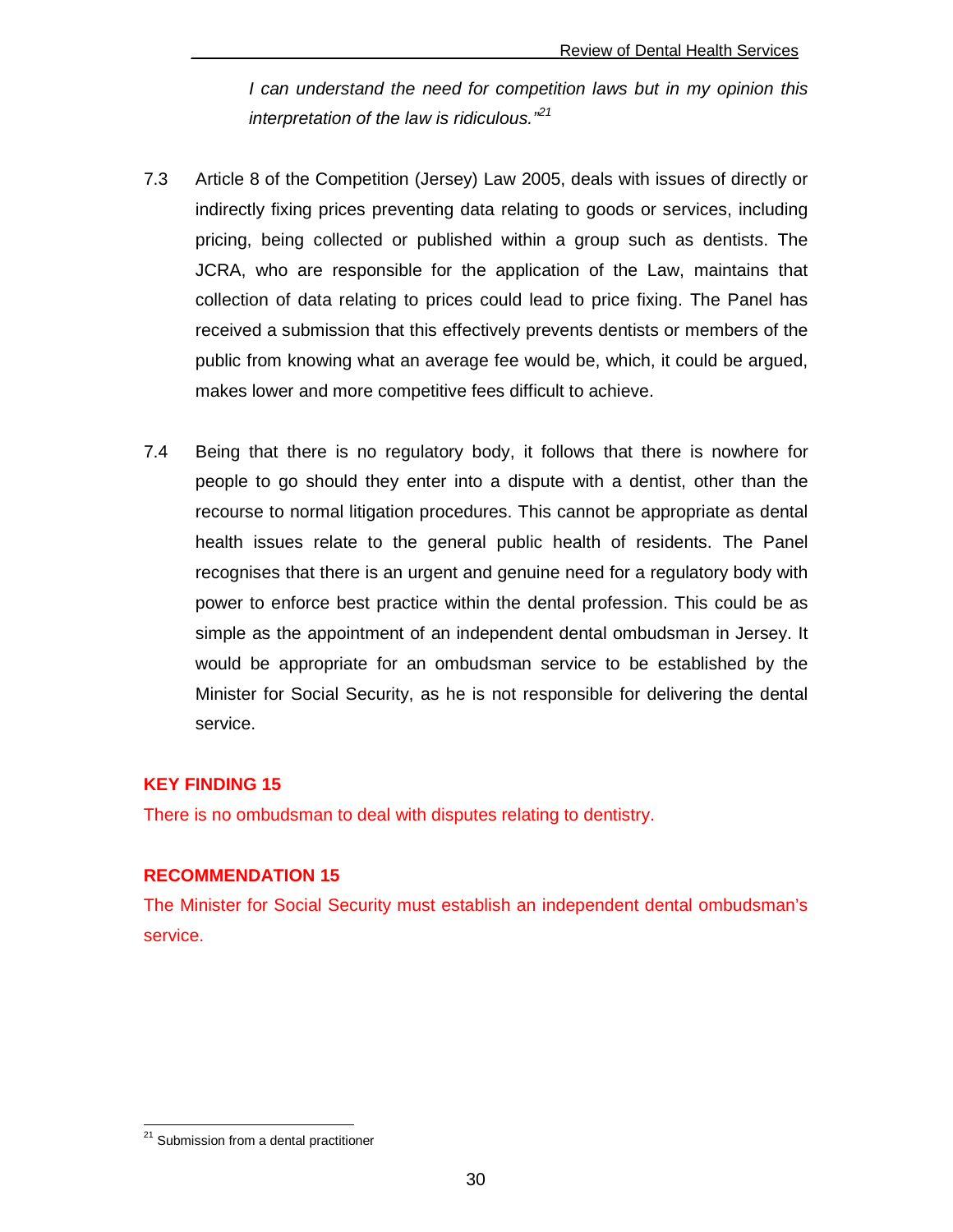I can understand the need for competition laws but in my opinion this interpretation of the law is ridiculous.<sup> $21$ </sup>

- 7.3 Article 8 of the Competition (Jersey) Law 2005, deals with issues of directly or indirectly fixing prices preventing data relating to goods or services, including pricing, being collected or published within a group such as dentists. The JCRA, who are responsible for the application of the Law, maintains that collection of data relating to prices could lead to price fixing. The Panel has received a submission that this effectively prevents dentists or members of the public from knowing what an average fee would be, which, it could be argued, makes lower and more competitive fees difficult to achieve.
- 7.4 Being that there is no regulatory body, it follows that there is nowhere for people to go should they enter into a dispute with a dentist, other than the recourse to normal litigation procedures. This cannot be appropriate as dental health issues relate to the general public health of residents. The Panel recognises that there is an urgent and genuine need for a regulatory body with power to enforce best practice within the dental profession. This could be as simple as the appointment of an independent dental ombudsman in Jersey. It would be appropriate for an ombudsman service to be established by the Minister for Social Security, as he is not responsible for delivering the dental service.

#### **KEY FINDING 15**

There is no ombudsman to deal with disputes relating to dentistry.

#### **RECOMMENDATION 15**

The Minister for Social Security must establish an independent dental ombudsman's service.

 $\overline{\phantom{a}}$ <sup>21</sup> Submission from a dental practitioner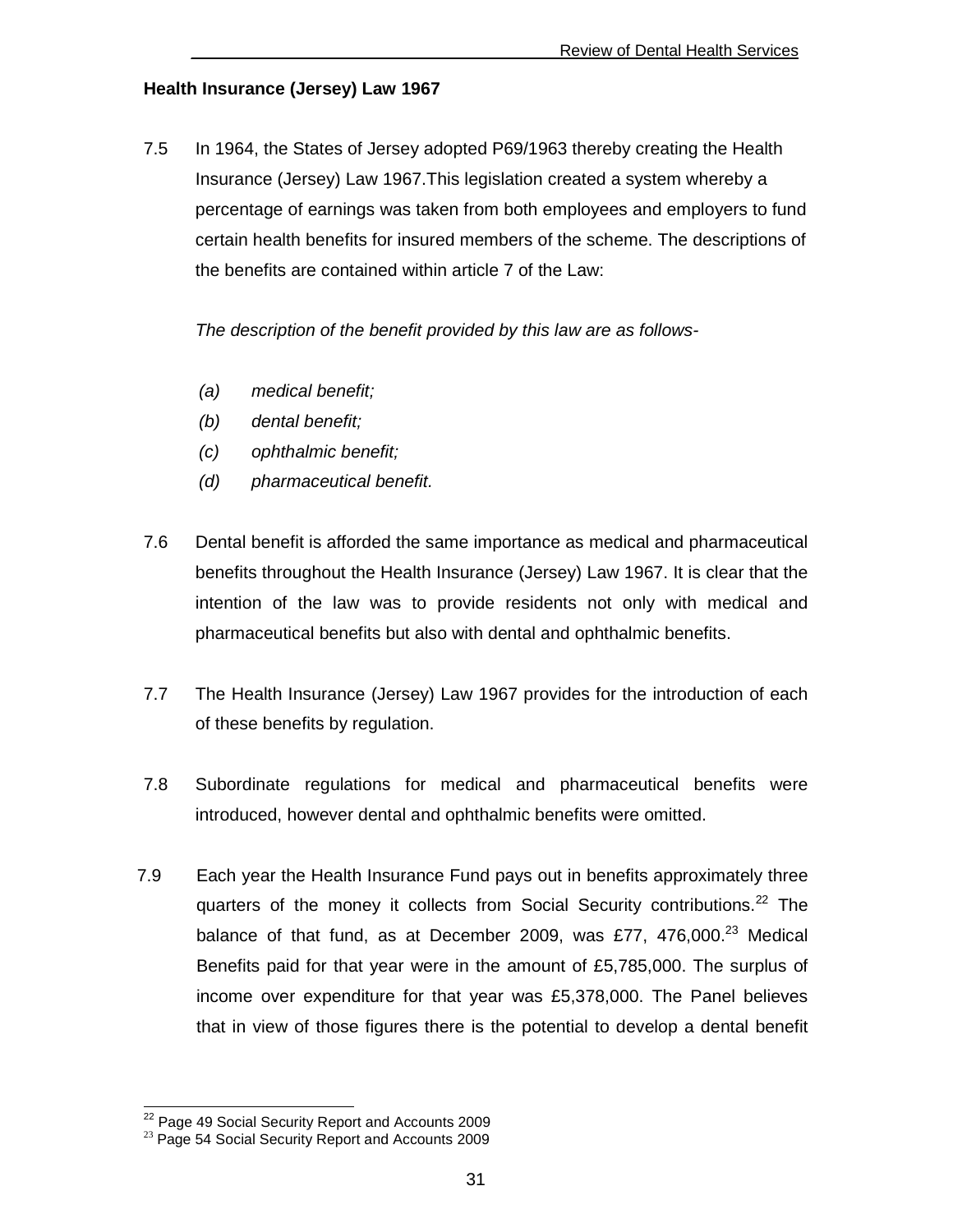#### **Health Insurance (Jersey) Law 1967**

7.5 In 1964, the States of Jersey adopted P69/1963 thereby creating the Health Insurance (Jersey) Law 1967.This legislation created a system whereby a percentage of earnings was taken from both employees and employers to fund certain health benefits for insured members of the scheme. The descriptions of the benefits are contained within article 7 of the Law:

The description of the benefit provided by this law are as follows-

- (a) medical benefit;
- (b) dental benefit;
- (c) ophthalmic benefit;
- (d) pharmaceutical benefit.
- 7.6 Dental benefit is afforded the same importance as medical and pharmaceutical benefits throughout the Health Insurance (Jersey) Law 1967. It is clear that the intention of the law was to provide residents not only with medical and pharmaceutical benefits but also with dental and ophthalmic benefits.
- 7.7 The Health Insurance (Jersey) Law 1967 provides for the introduction of each of these benefits by regulation.
- 7.8 Subordinate regulations for medical and pharmaceutical benefits were introduced, however dental and ophthalmic benefits were omitted.
- 7.9 Each year the Health Insurance Fund pays out in benefits approximately three quarters of the money it collects from Social Security contributions.<sup>22</sup> The balance of that fund, as at December 2009, was £77,  $476,000.<sup>23</sup>$  Medical Benefits paid for that year were in the amount of £5,785,000. The surplus of income over expenditure for that year was £5,378,000. The Panel believes that in view of those figures there is the potential to develop a dental benefit

 $\overline{\phantom{a}}$ 

<sup>&</sup>lt;sup>22</sup> Page 49 Social Security Report and Accounts 2009

<sup>&</sup>lt;sup>23</sup> Page 54 Social Security Report and Accounts 2009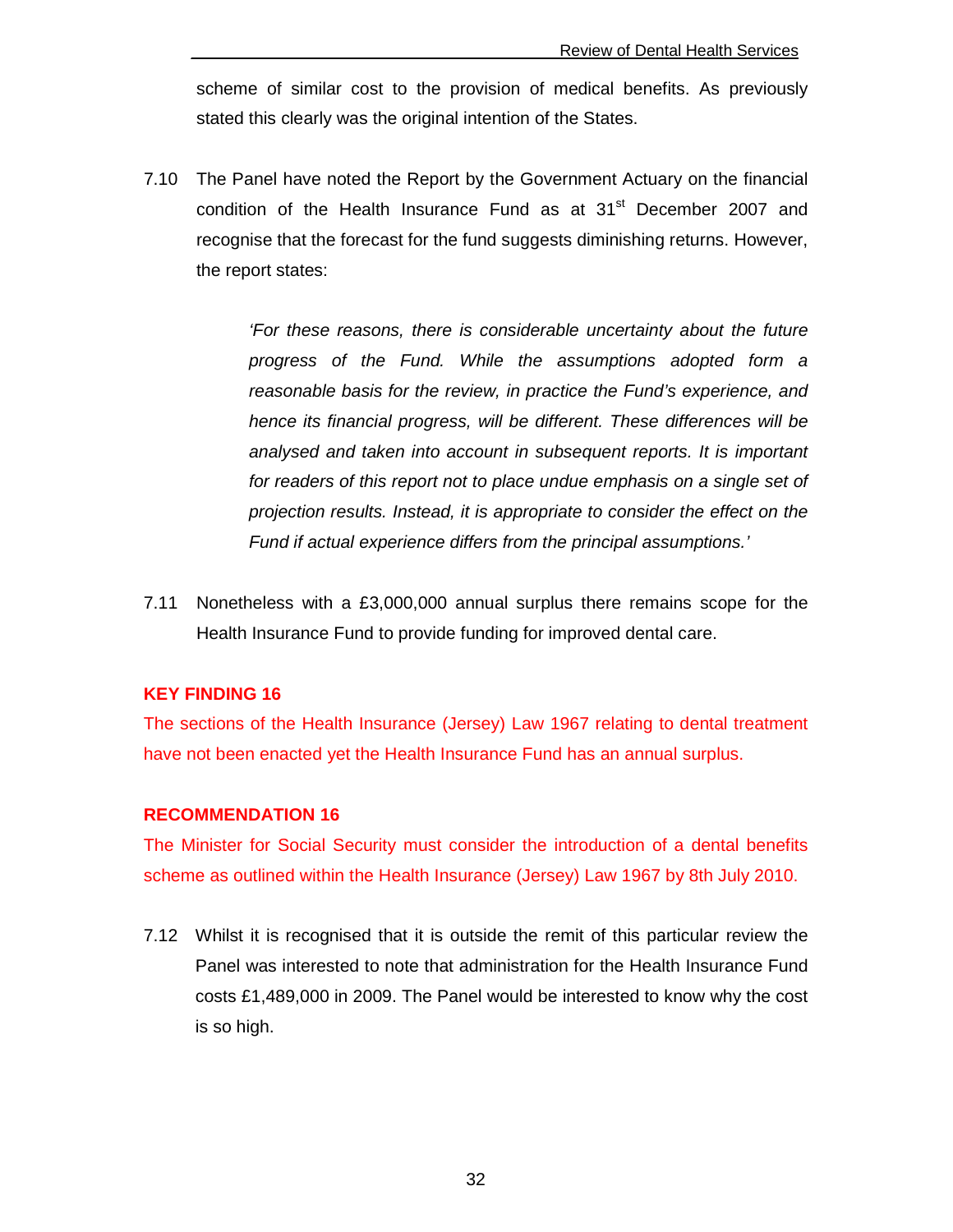scheme of similar cost to the provision of medical benefits. As previously stated this clearly was the original intention of the States.

7.10 The Panel have noted the Report by the Government Actuary on the financial condition of the Health Insurance Fund as at 31<sup>st</sup> December 2007 and recognise that the forecast for the fund suggests diminishing returns. However, the report states:

> 'For these reasons, there is considerable uncertainty about the future progress of the Fund. While the assumptions adopted form a reasonable basis for the review, in practice the Fund's experience, and hence its financial progress, will be different. These differences will be analysed and taken into account in subsequent reports. It is important for readers of this report not to place undue emphasis on a single set of projection results. Instead, it is appropriate to consider the effect on the Fund if actual experience differs from the principal assumptions.'

7.11 Nonetheless with a £3,000,000 annual surplus there remains scope for the Health Insurance Fund to provide funding for improved dental care.

#### **KEY FINDING 16**

The sections of the Health Insurance (Jersey) Law 1967 relating to dental treatment have not been enacted yet the Health Insurance Fund has an annual surplus.

#### **RECOMMENDATION 16**

The Minister for Social Security must consider the introduction of a dental benefits scheme as outlined within the Health Insurance (Jersey) Law 1967 by 8th July 2010.

7.12 Whilst it is recognised that it is outside the remit of this particular review the Panel was interested to note that administration for the Health Insurance Fund costs £1,489,000 in 2009. The Panel would be interested to know why the cost is so high.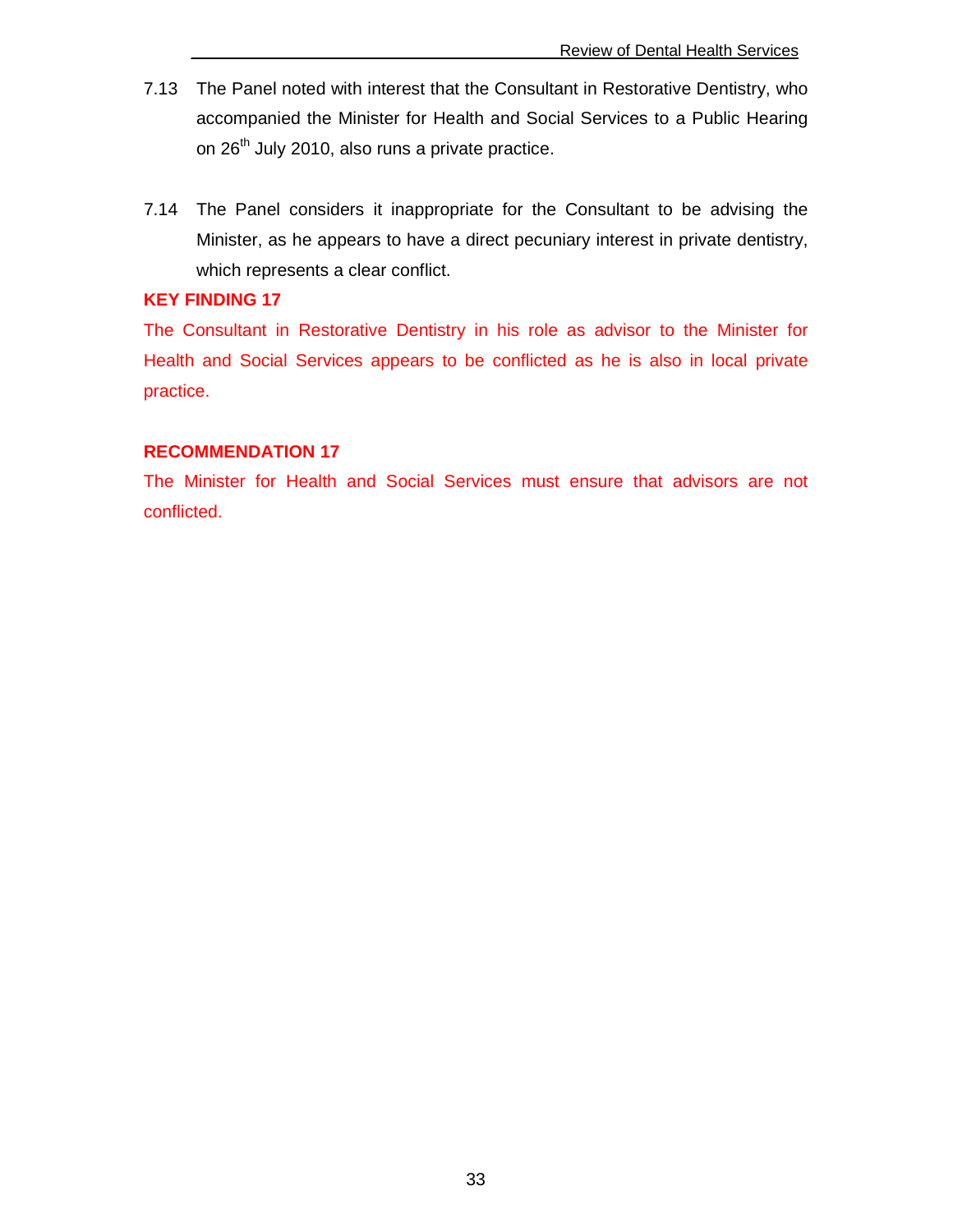- 7.13 The Panel noted with interest that the Consultant in Restorative Dentistry, who accompanied the Minister for Health and Social Services to a Public Hearing on 26<sup>th</sup> July 2010, also runs a private practice.
- 7.14 The Panel considers it inappropriate for the Consultant to be advising the Minister, as he appears to have a direct pecuniary interest in private dentistry, which represents a clear conflict.

#### **KEY FINDING 17**

The Consultant in Restorative Dentistry in his role as advisor to the Minister for Health and Social Services appears to be conflicted as he is also in local private practice.

#### **RECOMMENDATION 17**

The Minister for Health and Social Services must ensure that advisors are not conflicted.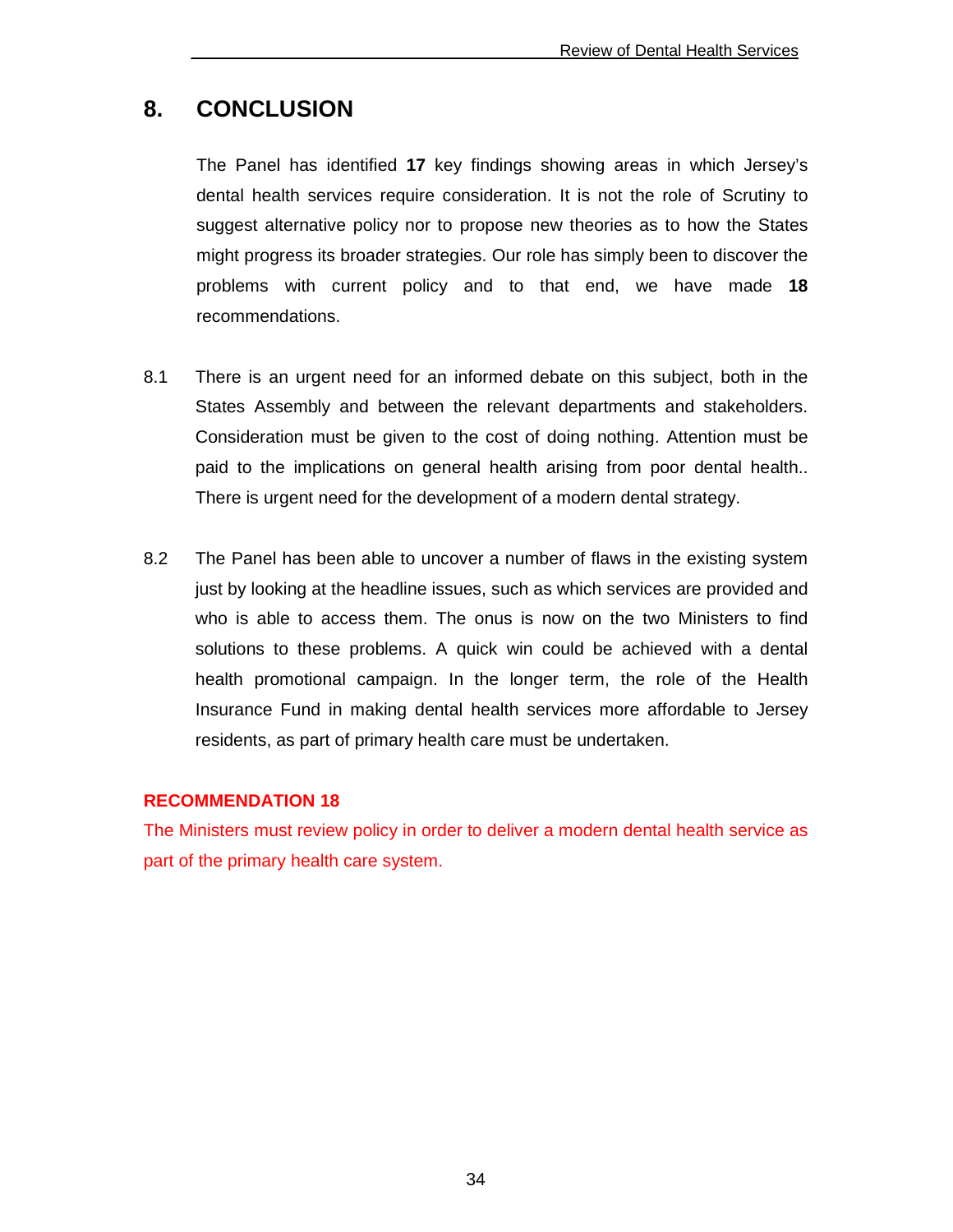## **8. CONCLUSION**

 The Panel has identified **17** key findings showing areas in which Jersey's dental health services require consideration. It is not the role of Scrutiny to suggest alternative policy nor to propose new theories as to how the States might progress its broader strategies. Our role has simply been to discover the problems with current policy and to that end, we have made **18** recommendations.

- 8.1 There is an urgent need for an informed debate on this subject, both in the States Assembly and between the relevant departments and stakeholders. Consideration must be given to the cost of doing nothing. Attention must be paid to the implications on general health arising from poor dental health.. There is urgent need for the development of a modern dental strategy.
- 8.2 The Panel has been able to uncover a number of flaws in the existing system just by looking at the headline issues, such as which services are provided and who is able to access them. The onus is now on the two Ministers to find solutions to these problems. A quick win could be achieved with a dental health promotional campaign. In the longer term, the role of the Health Insurance Fund in making dental health services more affordable to Jersey residents, as part of primary health care must be undertaken.

#### **RECOMMENDATION 18**

The Ministers must review policy in order to deliver a modern dental health service as part of the primary health care system.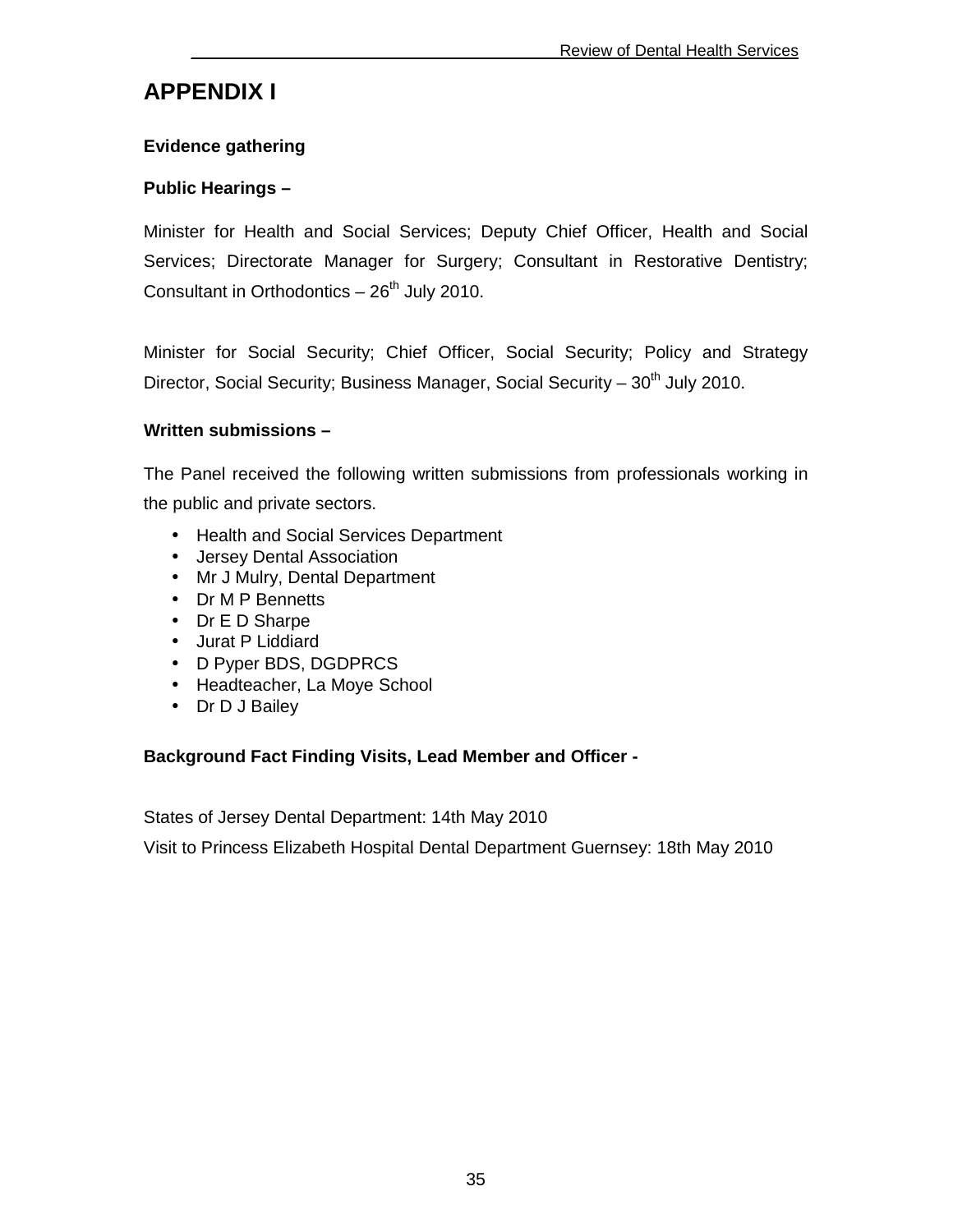## **APPENDIX I**

#### **Evidence gathering**

#### **Public Hearings –**

Minister for Health and Social Services; Deputy Chief Officer, Health and Social Services; Directorate Manager for Surgery; Consultant in Restorative Dentistry; Consultant in Orthodontics  $-26<sup>th</sup>$  July 2010.

Minister for Social Security; Chief Officer, Social Security; Policy and Strategy Director, Social Security; Business Manager, Social Security –  $30<sup>th</sup>$  July 2010.

#### **Written submissions –**

The Panel received the following written submissions from professionals working in the public and private sectors.

- Health and Social Services Department
- Jersey Dental Association
- Mr J Mulry, Dental Department
- Dr M P Bennetts
- Dr E D Sharpe
- Jurat P Liddiard
- D Pyper BDS, DGDPRCS
- Headteacher, La Moye School
- Dr D J Bailey

#### **Background Fact Finding Visits, Lead Member and Officer -**

States of Jersey Dental Department: 14th May 2010

Visit to Princess Elizabeth Hospital Dental Department Guernsey: 18th May 2010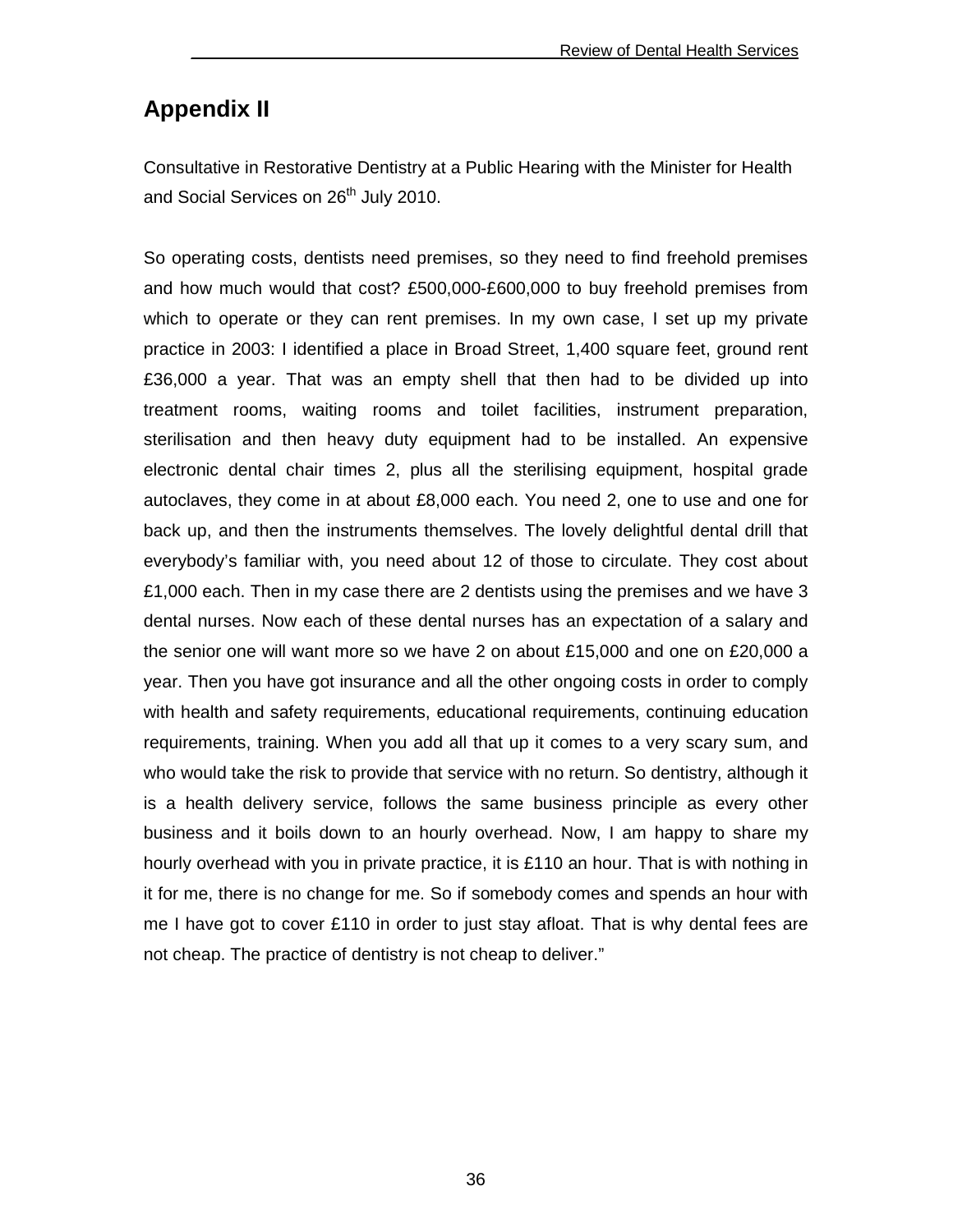## **Appendix II**

Consultative in Restorative Dentistry at a Public Hearing with the Minister for Health and Social Services on 26<sup>th</sup> July 2010.

So operating costs, dentists need premises, so they need to find freehold premises and how much would that cost? £500,000-£600,000 to buy freehold premises from which to operate or they can rent premises. In my own case, I set up my private practice in 2003: I identified a place in Broad Street, 1,400 square feet, ground rent £36,000 a year. That was an empty shell that then had to be divided up into treatment rooms, waiting rooms and toilet facilities, instrument preparation, sterilisation and then heavy duty equipment had to be installed. An expensive electronic dental chair times 2, plus all the sterilising equipment, hospital grade autoclaves, they come in at about £8,000 each. You need 2, one to use and one for back up, and then the instruments themselves. The lovely delightful dental drill that everybody's familiar with, you need about 12 of those to circulate. They cost about £1,000 each. Then in my case there are 2 dentists using the premises and we have 3 dental nurses. Now each of these dental nurses has an expectation of a salary and the senior one will want more so we have 2 on about £15,000 and one on £20,000 a year. Then you have got insurance and all the other ongoing costs in order to comply with health and safety requirements, educational requirements, continuing education requirements, training. When you add all that up it comes to a very scary sum, and who would take the risk to provide that service with no return. So dentistry, although it is a health delivery service, follows the same business principle as every other business and it boils down to an hourly overhead. Now, I am happy to share my hourly overhead with you in private practice, it is £110 an hour. That is with nothing in it for me, there is no change for me. So if somebody comes and spends an hour with me I have got to cover £110 in order to just stay afloat. That is why dental fees are not cheap. The practice of dentistry is not cheap to deliver."